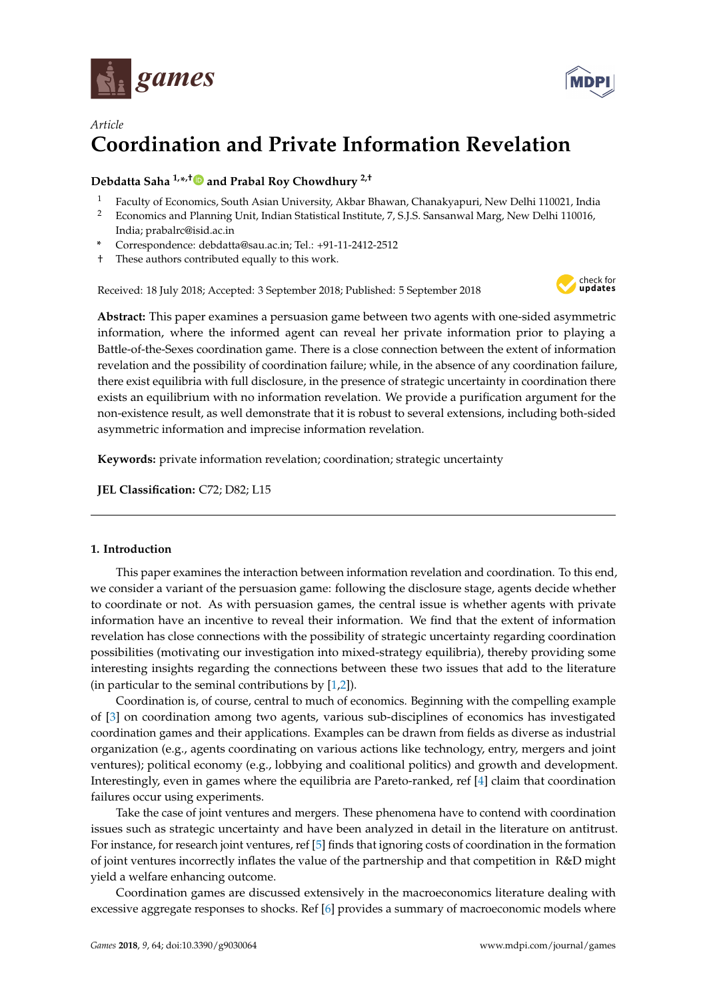



# *Article* **Coordination and Private Information Revelation**

# **Debdatta Saha 1,\* ,[†](https://orcid.org/0000-0002-6403-4192) and Prabal Roy Chowdhury 2,†**

- <sup>1</sup> Faculty of Economics, South Asian University, Akbar Bhawan, Chanakyapuri, New Delhi 110021, India<br><sup>2</sup> Economics and Planning Unit Indian Statistical Institute 7, S.J.S. Sansanwal Marg, New Delhi 110016
- <sup>2</sup> Economics and Planning Unit, Indian Statistical Institute, 7, S.J.S. Sansanwal Marg, New Delhi 110016, India; prabalrc@isid.ac.in
- **\*** Correspondence: debdatta@sau.ac.in; Tel.: +91-11-2412-2512
- † These authors contributed equally to this work.

Received: 18 July 2018; Accepted: 3 September 2018; Published: 5 September 2018



**Abstract:** This paper examines a persuasion game between two agents with one-sided asymmetric information, where the informed agent can reveal her private information prior to playing a Battle-of-the-Sexes coordination game. There is a close connection between the extent of information revelation and the possibility of coordination failure; while, in the absence of any coordination failure, there exist equilibria with full disclosure, in the presence of strategic uncertainty in coordination there exists an equilibrium with no information revelation. We provide a purification argument for the non-existence result, as well demonstrate that it is robust to several extensions, including both-sided asymmetric information and imprecise information revelation.

**Keywords:** private information revelation; coordination; strategic uncertainty

**JEL Classification:** C72; D82; L15

# **1. Introduction**

This paper examines the interaction between information revelation and coordination. To this end, we consider a variant of the persuasion game: following the disclosure stage, agents decide whether to coordinate or not. As with persuasion games, the central issue is whether agents with private information have an incentive to reveal their information. We find that the extent of information revelation has close connections with the possibility of strategic uncertainty regarding coordination possibilities (motivating our investigation into mixed-strategy equilibria), thereby providing some interesting insights regarding the connections between these two issues that add to the literature (in particular to the seminal contributions by  $[1,2]$  $[1,2]$ ).

Coordination is, of course, central to much of economics. Beginning with the compelling example of [\[3\]](#page-19-2) on coordination among two agents, various sub-disciplines of economics has investigated coordination games and their applications. Examples can be drawn from fields as diverse as industrial organization (e.g., agents coordinating on various actions like technology, entry, mergers and joint ventures); political economy (e.g., lobbying and coalitional politics) and growth and development. Interestingly, even in games where the equilibria are Pareto-ranked, ref [\[4\]](#page-19-3) claim that coordination failures occur using experiments.

Take the case of joint ventures and mergers. These phenomena have to contend with coordination issues such as strategic uncertainty and have been analyzed in detail in the literature on antitrust. For instance, for research joint ventures, ref [\[5\]](#page-19-4) finds that ignoring costs of coordination in the formation of joint ventures incorrectly inflates the value of the partnership and that competition in R&D might yield a welfare enhancing outcome.

Coordination games are discussed extensively in the macroeconomics literature dealing with excessive aggregate responses to shocks. Ref [\[6\]](#page-19-5) provides a summary of macroeconomic models where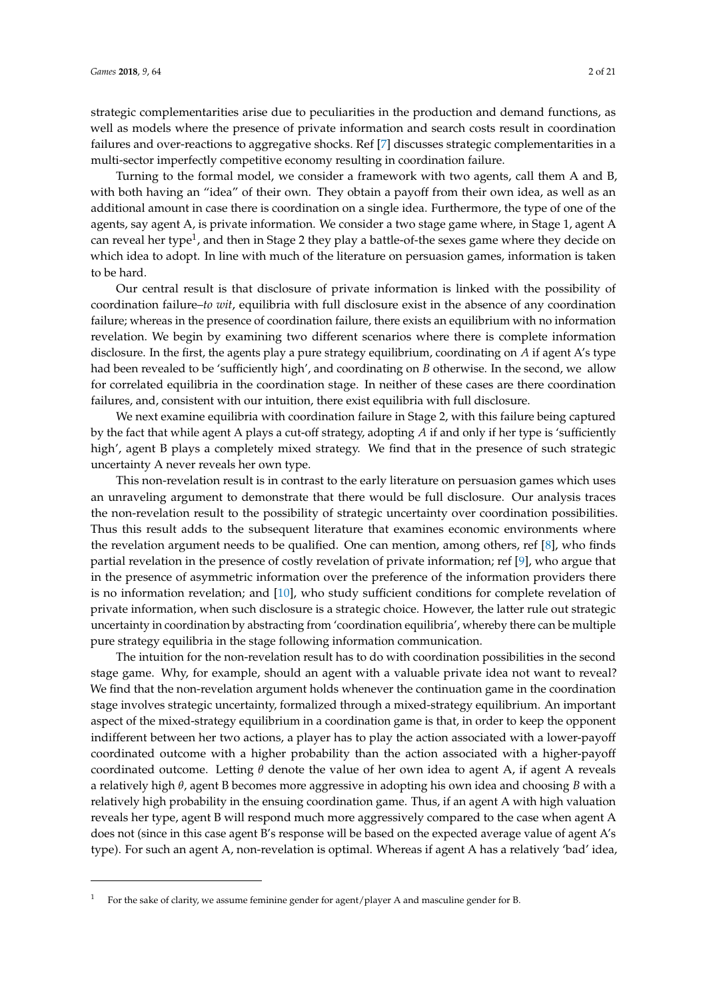multi-sector imperfectly competitive economy resulting in coordination failure. Turning to the formal model, we consider a framework with two agents, call them A and B, with both having an "idea" of their own. They obtain a payoff from their own idea, as well as an additional amount in case there is coordination on a single idea. Furthermore, the type of one of the agents, say agent A, is private information. We consider a two stage game where, in Stage 1, agent A can reveal her type<sup>1</sup>, and then in Stage 2 they play a battle-of-the sexes game where they decide on which idea to adopt. In line with much of the literature on persuasion games, information is taken to be hard.

failures and over-reactions to aggregative shocks. Ref [\[7\]](#page-19-6) discusses strategic complementarities in a

Our central result is that disclosure of private information is linked with the possibility of coordination failure–*to wit*, equilibria with full disclosure exist in the absence of any coordination failure; whereas in the presence of coordination failure, there exists an equilibrium with no information revelation. We begin by examining two different scenarios where there is complete information disclosure. In the first, the agents play a pure strategy equilibrium, coordinating on *A* if agent A's type had been revealed to be 'sufficiently high', and coordinating on *B* otherwise. In the second, we allow for correlated equilibria in the coordination stage. In neither of these cases are there coordination failures, and, consistent with our intuition, there exist equilibria with full disclosure.

We next examine equilibria with coordination failure in Stage 2, with this failure being captured by the fact that while agent A plays a cut-off strategy, adopting *A* if and only if her type is 'sufficiently high', agent B plays a completely mixed strategy. We find that in the presence of such strategic uncertainty A never reveals her own type.

This non-revelation result is in contrast to the early literature on persuasion games which uses an unraveling argument to demonstrate that there would be full disclosure. Our analysis traces the non-revelation result to the possibility of strategic uncertainty over coordination possibilities. Thus this result adds to the subsequent literature that examines economic environments where the revelation argument needs to be qualified. One can mention, among others, ref [\[8\]](#page-19-7), who finds partial revelation in the presence of costly revelation of private information; ref [\[9\]](#page-19-8), who argue that in the presence of asymmetric information over the preference of the information providers there is no information revelation; and [\[10\]](#page-19-9), who study sufficient conditions for complete revelation of private information, when such disclosure is a strategic choice. However, the latter rule out strategic uncertainty in coordination by abstracting from 'coordination equilibria', whereby there can be multiple pure strategy equilibria in the stage following information communication.

The intuition for the non-revelation result has to do with coordination possibilities in the second stage game. Why, for example, should an agent with a valuable private idea not want to reveal? We find that the non-revelation argument holds whenever the continuation game in the coordination stage involves strategic uncertainty, formalized through a mixed-strategy equilibrium. An important aspect of the mixed-strategy equilibrium in a coordination game is that, in order to keep the opponent indifferent between her two actions, a player has to play the action associated with a lower-payoff coordinated outcome with a higher probability than the action associated with a higher-payoff coordinated outcome. Letting  $\theta$  denote the value of her own idea to agent A, if agent A reveals a relatively high *θ*, agent B becomes more aggressive in adopting his own idea and choosing *B* with a relatively high probability in the ensuing coordination game. Thus, if an agent A with high valuation reveals her type, agent B will respond much more aggressively compared to the case when agent A does not (since in this case agent B's response will be based on the expected average value of agent A's type). For such an agent A, non-revelation is optimal. Whereas if agent A has a relatively 'bad' idea,

<sup>1</sup> For the sake of clarity, we assume feminine gender for agent/player A and masculine gender for B.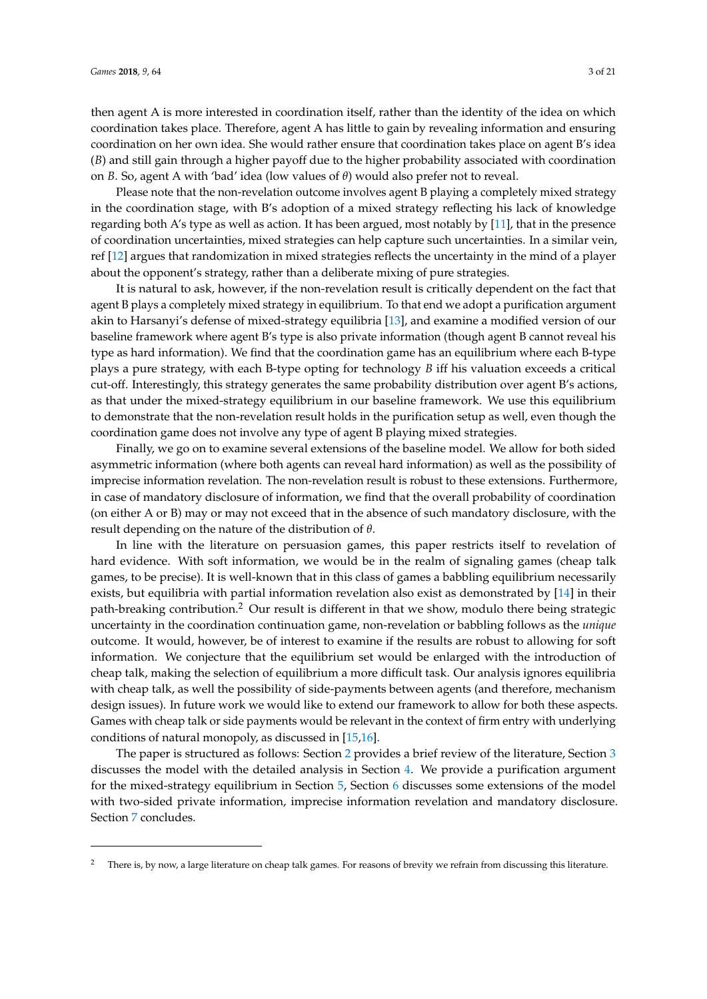then agent A is more interested in coordination itself, rather than the identity of the idea on which coordination takes place. Therefore, agent A has little to gain by revealing information and ensuring coordination on her own idea. She would rather ensure that coordination takes place on agent B's idea (*B*) and still gain through a higher payoff due to the higher probability associated with coordination on *B*. So, agent A with 'bad' idea (low values of *θ*) would also prefer not to reveal.

Please note that the non-revelation outcome involves agent B playing a completely mixed strategy in the coordination stage, with B's adoption of a mixed strategy reflecting his lack of knowledge regarding both A's type as well as action. It has been argued, most notably by [\[11\]](#page-19-10), that in the presence of coordination uncertainties, mixed strategies can help capture such uncertainties. In a similar vein, ref [\[12\]](#page-19-11) argues that randomization in mixed strategies reflects the uncertainty in the mind of a player about the opponent's strategy, rather than a deliberate mixing of pure strategies.

It is natural to ask, however, if the non-revelation result is critically dependent on the fact that agent B plays a completely mixed strategy in equilibrium. To that end we adopt a purification argument akin to Harsanyi's defense of mixed-strategy equilibria [\[13\]](#page-19-12), and examine a modified version of our baseline framework where agent B's type is also private information (though agent B cannot reveal his type as hard information). We find that the coordination game has an equilibrium where each B-type plays a pure strategy, with each B-type opting for technology *B* iff his valuation exceeds a critical cut-off. Interestingly, this strategy generates the same probability distribution over agent B's actions, as that under the mixed-strategy equilibrium in our baseline framework. We use this equilibrium to demonstrate that the non-revelation result holds in the purification setup as well, even though the coordination game does not involve any type of agent B playing mixed strategies.

Finally, we go on to examine several extensions of the baseline model. We allow for both sided asymmetric information (where both agents can reveal hard information) as well as the possibility of imprecise information revelation. The non-revelation result is robust to these extensions. Furthermore, in case of mandatory disclosure of information, we find that the overall probability of coordination (on either A or B) may or may not exceed that in the absence of such mandatory disclosure, with the result depending on the nature of the distribution of *θ*.

In line with the literature on persuasion games, this paper restricts itself to revelation of hard evidence. With soft information, we would be in the realm of signaling games (cheap talk games, to be precise). It is well-known that in this class of games a babbling equilibrium necessarily exists, but equilibria with partial information revelation also exist as demonstrated by [\[14\]](#page-19-13) in their path-breaking contribution.<sup>2</sup> Our result is different in that we show, modulo there being strategic uncertainty in the coordination continuation game, non-revelation or babbling follows as the *unique* outcome. It would, however, be of interest to examine if the results are robust to allowing for soft information. We conjecture that the equilibrium set would be enlarged with the introduction of cheap talk, making the selection of equilibrium a more difficult task. Our analysis ignores equilibria with cheap talk, as well the possibility of side-payments between agents (and therefore, mechanism design issues). In future work we would like to extend our framework to allow for both these aspects. Games with cheap talk or side payments would be relevant in the context of firm entry with underlying conditions of natural monopoly, as discussed in [\[15,](#page-19-14)[16\]](#page-19-15).

The paper is structured as follows: Section [2](#page-3-0) provides a brief review of the literature, Section [3](#page-3-1) discusses the model with the detailed analysis in Section [4.](#page-5-0) We provide a purification argument for the mixed-strategy equilibrium in Section [5,](#page-9-0) Section [6](#page-13-0) discusses some extensions of the model with two-sided private information, imprecise information revelation and mandatory disclosure. Section [7](#page-16-0) concludes.

There is, by now, a large literature on cheap talk games. For reasons of brevity we refrain from discussing this literature.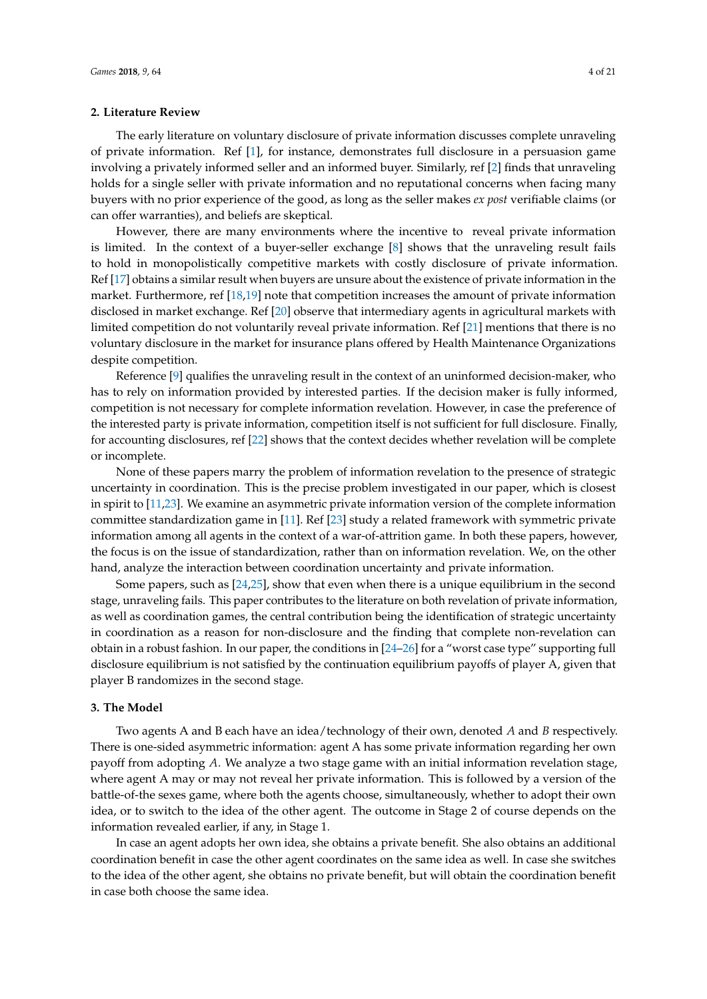#### <span id="page-3-0"></span>**2. Literature Review**

The early literature on voluntary disclosure of private information discusses complete unraveling of private information. Ref [\[1\]](#page-19-0), for instance, demonstrates full disclosure in a persuasion game involving a privately informed seller and an informed buyer. Similarly, ref [\[2\]](#page-19-1) finds that unraveling holds for a single seller with private information and no reputational concerns when facing many buyers with no prior experience of the good, as long as the seller makes *ex post* verifiable claims (or can offer warranties), and beliefs are skeptical.

However, there are many environments where the incentive to reveal private information is limited. In the context of a buyer-seller exchange [\[8\]](#page-19-7) shows that the unraveling result fails to hold in monopolistically competitive markets with costly disclosure of private information. Ref [\[17\]](#page-19-16) obtains a similar result when buyers are unsure about the existence of private information in the market. Furthermore, ref [\[18](#page-19-17)[,19\]](#page-19-18) note that competition increases the amount of private information disclosed in market exchange. Ref [\[20\]](#page-19-19) observe that intermediary agents in agricultural markets with limited competition do not voluntarily reveal private information. Ref [\[21\]](#page-19-20) mentions that there is no voluntary disclosure in the market for insurance plans offered by Health Maintenance Organizations despite competition.

Reference [\[9\]](#page-19-8) qualifies the unraveling result in the context of an uninformed decision-maker, who has to rely on information provided by interested parties. If the decision maker is fully informed, competition is not necessary for complete information revelation. However, in case the preference of the interested party is private information, competition itself is not sufficient for full disclosure. Finally, for accounting disclosures, ref [\[22\]](#page-19-21) shows that the context decides whether revelation will be complete or incomplete.

None of these papers marry the problem of information revelation to the presence of strategic uncertainty in coordination. This is the precise problem investigated in our paper, which is closest in spirit to [\[11](#page-19-10)[,23\]](#page-19-22). We examine an asymmetric private information version of the complete information committee standardization game in [\[11\]](#page-19-10). Ref [\[23\]](#page-19-22) study a related framework with symmetric private information among all agents in the context of a war-of-attrition game. In both these papers, however, the focus is on the issue of standardization, rather than on information revelation. We, on the other hand, analyze the interaction between coordination uncertainty and private information.

Some papers, such as [\[24,](#page-19-23)[25\]](#page-19-24), show that even when there is a unique equilibrium in the second stage, unraveling fails. This paper contributes to the literature on both revelation of private information, as well as coordination games, the central contribution being the identification of strategic uncertainty in coordination as a reason for non-disclosure and the finding that complete non-revelation can obtain in a robust fashion. In our paper, the conditions in [\[24](#page-19-23)[–26\]](#page-20-0) for a "worst case type" supporting full disclosure equilibrium is not satisfied by the continuation equilibrium payoffs of player A, given that player B randomizes in the second stage.

# <span id="page-3-1"></span>**3. The Model**

Two agents A and B each have an idea/technology of their own, denoted *A* and *B* respectively. There is one-sided asymmetric information: agent A has some private information regarding her own payoff from adopting *A*. We analyze a two stage game with an initial information revelation stage, where agent A may or may not reveal her private information. This is followed by a version of the battle-of-the sexes game, where both the agents choose, simultaneously, whether to adopt their own idea, or to switch to the idea of the other agent. The outcome in Stage 2 of course depends on the information revealed earlier, if any, in Stage 1.

In case an agent adopts her own idea, she obtains a private benefit. She also obtains an additional coordination benefit in case the other agent coordinates on the same idea as well. In case she switches to the idea of the other agent, she obtains no private benefit, but will obtain the coordination benefit in case both choose the same idea.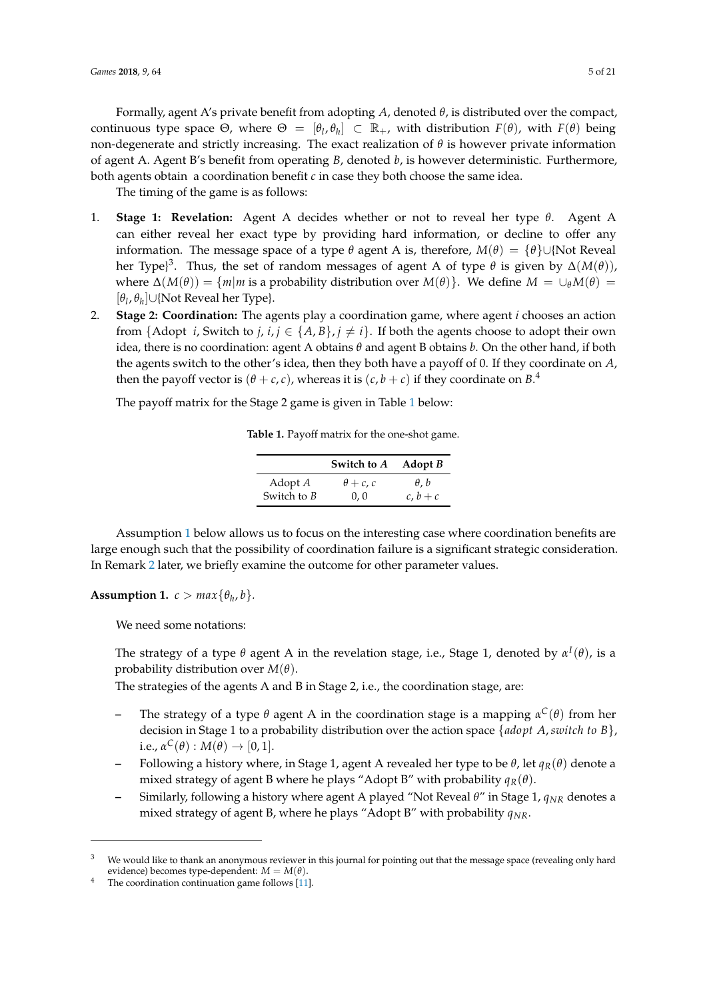Formally, agent A's private benefit from adopting *A*, denoted *θ*, is distributed over the compact, continuous type space  $\Theta$ , where  $\Theta = [\theta_l, \theta_h] \subset \mathbb{R}_+$ , with distribution  $F(\theta)$ , with  $F(\theta)$  being non-degenerate and strictly increasing. The exact realization of *θ* is however private information of agent A. Agent B's benefit from operating *B*, denoted *b*, is however deterministic. Furthermore, both agents obtain a coordination benefit *c* in case they both choose the same idea.

The timing of the game is as follows:

- 1. **Stage 1: Revelation:** Agent A decides whether or not to reveal her type *θ*. Agent A can either reveal her exact type by providing hard information, or decline to offer any information. The message space of a type  $\theta$  agent A is, therefore,  $M(\theta) = {\theta} \cup {\text{Not Re}}$  Reveal her Type}<sup>3</sup> . Thus, the set of random messages of agent A of type *θ* is given by ∆(*M*(*θ*)), where  $\Delta(M(\theta)) = \{m|m$  is a probability distribution over  $M(\theta)$ . We define  $M = \cup_{\theta} M(\theta)$  = [*θl* , *θ<sup>h</sup>* ]∪{Not Reveal her Type}.
- 2. **Stage 2: Coordination:** The agents play a coordination game, where agent *i* chooses an action from {Adopt *i*, Switch to *j*, *i*, *j*  $\in$  { $A$ ,  $B$ }, *j*  $\neq$  *i*}. If both the agents choose to adopt their own idea, there is no coordination: agent A obtains *θ* and agent B obtains *b*. On the other hand, if both the agents switch to the other's idea, then they both have a payoff of 0. If they coordinate on *A*, then the payoff vector is  $(\theta + c, c)$ , whereas it is  $(c, b + c)$  if they coordinate on  $B$ .<sup>4</sup>

<span id="page-4-0"></span>The payoff matrix for the Stage 2 game is given in Table [1](#page-4-0) below:

**Table 1.** Payoff matrix for the one-shot game.

|               | Switch to A      | Adopt $B$    |
|---------------|------------------|--------------|
| Adopt A       | $\theta + c$ , c | $\theta$ . b |
| Switch to $B$ | 0.0              | c, $b+c$     |

Assumption [1](#page-4-1) below allows us to focus on the interesting case where coordination benefits are large enough such that the possibility of coordination failure is a significant strategic consideration. In Remark [2](#page-9-1) later, we briefly examine the outcome for other parameter values.

<span id="page-4-1"></span>**Assumption 1.**  $c > max{\theta_h, b}$ .

We need some notations:

The strategy of a type *θ* agent A in the revelation stage, i.e., Stage 1, denoted by *α I* (*θ*), is a probability distribution over *M*(*θ*).

The strategies of the agents A and B in Stage 2, i.e., the coordination stage, are:

- **–** The strategy of a type *θ* agent A in the coordination stage is a mapping *α <sup>C</sup>*(*θ*) from her decision in Stage 1 to a probability distribution over the action space {*adopt A*,*switch to B*}, i.e.,  $\alpha^C(\theta) : M(\theta) \to [0,1].$
- **–** Following a history where, in Stage 1, agent A revealed her type to be *θ*, let *qR*(*θ*) denote a mixed strategy of agent B where he plays "Adopt B" with probability *qR*(*θ*).
- **–** Similarly, following a history where agent A played "Not Reveal *θ*" in Stage 1, *qNR* denotes a mixed strategy of agent B, where he plays "Adopt B" with probability *qNR*.

 $3$  We would like to thank an anonymous reviewer in this journal for pointing out that the message space (revealing only hard evidence) becomes type-dependent:  $M = M(\theta)$ .

<sup>&</sup>lt;sup>4</sup> The coordination continuation game follows  $\hat{11}$ .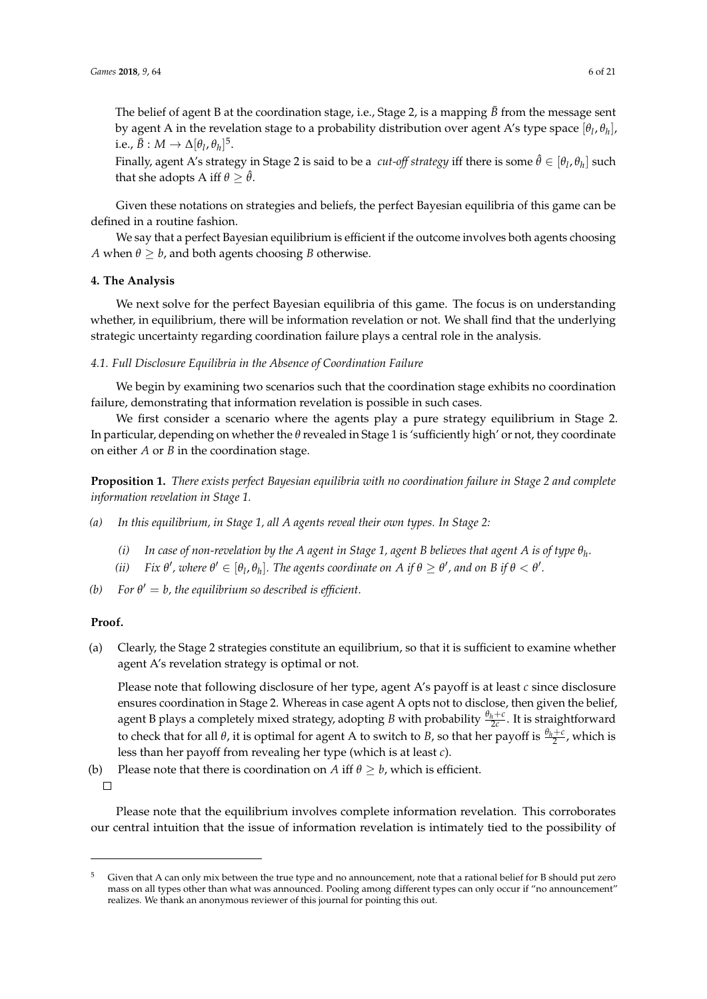The belief of agent B at the coordination stage, i.e., Stage 2, is a mapping  $\bar{B}$  from the message sent by agent A in the revelation stage to a probability distribution over agent A's type space  $[\theta_l, \theta_h]$ , i.e.,  $\bar{B}: M \to \Delta[\theta_l, \theta_h]^5$ .

Finally, agent A's strategy in Stage 2 is said to be a *cut-off strategy* iff there is some  $\hat{\theta} \in [\theta_l,\theta_h]$  such that she adopts A iff  $\theta \geq \hat{\theta}$ .

Given these notations on strategies and beliefs, the perfect Bayesian equilibria of this game can be defined in a routine fashion.

We say that a perfect Bayesian equilibrium is efficient if the outcome involves both agents choosing *A* when  $\theta > b$ , and both agents choosing *B* otherwise.

# <span id="page-5-0"></span>**4. The Analysis**

We next solve for the perfect Bayesian equilibria of this game. The focus is on understanding whether, in equilibrium, there will be information revelation or not. We shall find that the underlying strategic uncertainty regarding coordination failure plays a central role in the analysis.

#### <span id="page-5-1"></span>*4.1. Full Disclosure Equilibria in the Absence of Coordination Failure*

We begin by examining two scenarios such that the coordination stage exhibits no coordination failure, demonstrating that information revelation is possible in such cases.

We first consider a scenario where the agents play a pure strategy equilibrium in Stage 2. In particular, depending on whether the *θ* revealed in Stage 1 is 'sufficiently high' or not, they coordinate on either *A* or *B* in the coordination stage.

<span id="page-5-2"></span>**Proposition 1.** *There exists perfect Bayesian equilibria with no coordination failure in Stage 2 and complete information revelation in Stage 1.*

- *(a) In this equilibrium, in Stage 1, all A agents reveal their own types. In Stage 2:*
	- *(i) In case of non-revelation by the A agent in Stage 1, agent B believes that agent A is of type θ<sup>h</sup> .*
	- $(iii)$  *Fix*  $\theta'$ , where  $\theta' \in [\theta_l, \theta_h]$ . The agents coordinate on A if  $\theta \ge \theta'$ , and on B if  $\theta < \theta'$ .
- *(b)* For  $\theta' = b$ , the equilibrium so described is efficient.

#### **Proof.**

(a) Clearly, the Stage 2 strategies constitute an equilibrium, so that it is sufficient to examine whether agent A's revelation strategy is optimal or not.

Please note that following disclosure of her type, agent A's payoff is at least *c* since disclosure ensures coordination in Stage 2. Whereas in case agent A opts not to disclose, then given the belief, agent B plays a completely mixed strategy, adopting *B* with probability *<sup>θ</sup>h*+*<sup>c</sup>* 2*c* . It is straightforward to check that for all  $\theta$ , it is optimal for agent A to switch to *B*, so that her payoff is  $\frac{\theta_h+c}{2}$ , which is less than her payoff from revealing her type (which is at least *c*).

(b) Please note that there is coordination on *A* iff  $\theta \geq b$ , which is efficient.

 $\Box$ 

Please note that the equilibrium involves complete information revelation. This corroborates our central intuition that the issue of information revelation is intimately tied to the possibility of

 $5$  Given that A can only mix between the true type and no announcement, note that a rational belief for B should put zero mass on all types other than what was announced. Pooling among different types can only occur if "no announcement" realizes. We thank an anonymous reviewer of this journal for pointing this out.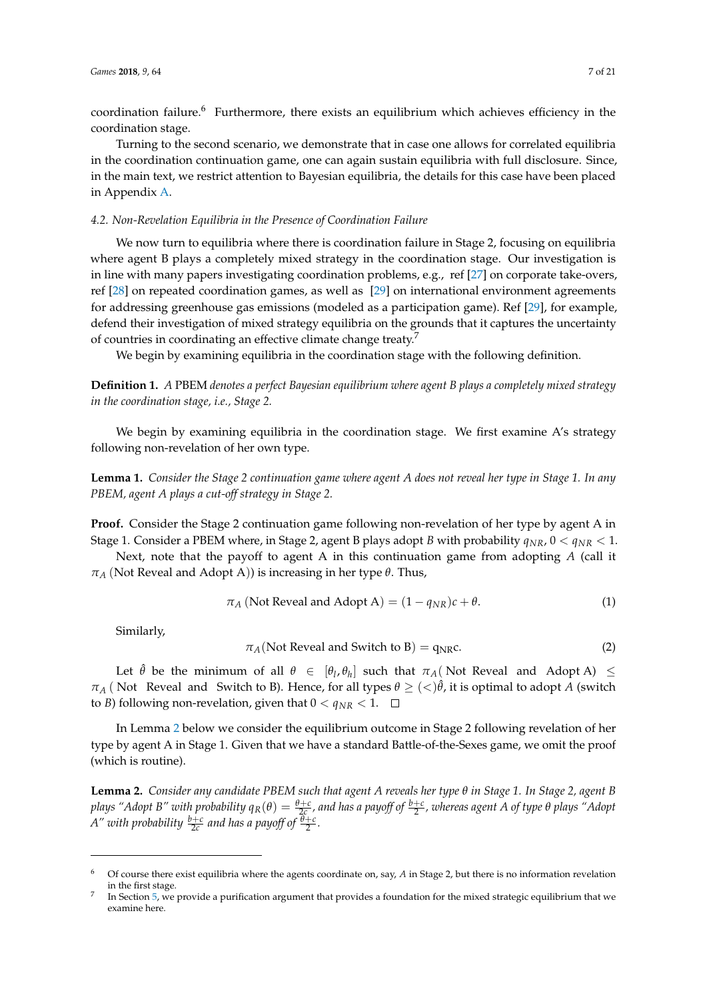coordination failure.<sup>6</sup> Furthermore, there exists an equilibrium which achieves efficiency in the coordination stage.

Turning to the second scenario, we demonstrate that in case one allows for correlated equilibria in the coordination continuation game, one can again sustain equilibria with full disclosure. Since, in the main text, we restrict attention to Bayesian equilibria, the details for this case have been placed in Appendix [A.](#page-17-0)

#### <span id="page-6-2"></span>*4.2. Non-Revelation Equilibria in the Presence of Coordination Failure*

We now turn to equilibria where there is coordination failure in Stage 2, focusing on equilibria where agent B plays a completely mixed strategy in the coordination stage. Our investigation is in line with many papers investigating coordination problems, e.g., ref [\[27\]](#page-20-1) on corporate take-overs, ref [\[28\]](#page-20-2) on repeated coordination games, as well as [\[29\]](#page-20-3) on international environment agreements for addressing greenhouse gas emissions (modeled as a participation game). Ref [\[29\]](#page-20-3), for example, defend their investigation of mixed strategy equilibria on the grounds that it captures the uncertainty of countries in coordinating an effective climate change treaty.<sup>7</sup>

We begin by examining equilibria in the coordination stage with the following definition.

**Definition 1.** *A* PBEM *denotes a perfect Bayesian equilibrium where agent B plays a completely mixed strategy in the coordination stage, i.e., Stage 2.*

We begin by examining equilibria in the coordination stage. We first examine A's strategy following non-revelation of her own type.

<span id="page-6-1"></span>**Lemma 1.** *Consider the Stage 2 continuation game where agent A does not reveal her type in Stage 1. In any PBEM, agent A plays a cut-off strategy in Stage 2.*

**Proof.** Consider the Stage 2 continuation game following non-revelation of her type by agent A in Stage 1. Consider a PBEM where, in Stage 2, agent B plays adopt *B* with probability *qNR*, 0 < *qNR* < 1.

Next, note that the payoff to agent A in this continuation game from adopting *A* (call it *π<sup>A</sup>* (Not Reveal and Adopt A)) is increasing in her type *θ*. Thus,

$$
\pi_A \left( \text{Not Reveal and Adopt A} \right) = (1 - q_{NR})c + \theta. \tag{1}
$$

Similarly,

$$
\pi_A(\text{Not Reveal and Switch to B}) = q_{\text{NR}}c. \tag{2}
$$

Let  $\hat{\theta}$  be the minimum of all  $\theta \in [\theta_l, \theta_h]$  such that  $\pi_A$  (Not Reveal and Adopt A)  $\leq$  $\pi_A$  ( Not Reveal and Switch to B). Hence, for all types  $\theta \geq (<)\hat{\theta}$ , it is optimal to adopt *A* (switch to *B*) following non-revelation, given that  $0 < q_{NR} < 1$ .  $\Box$ 

In Lemma [2](#page-6-0) below we consider the equilibrium outcome in Stage 2 following revelation of her type by agent A in Stage 1. Given that we have a standard Battle-of-the-Sexes game, we omit the proof (which is routine).

<span id="page-6-0"></span>**Lemma 2.** *Consider any candidate PBEM such that agent A reveals her type θ in Stage 1. In Stage 2, agent B plays "Adopt B" with probability*  $q_R(\theta) = \frac{\theta+c}{2c}$ *, and has a payoff of*  $\frac{b+c}{2}$ *, whereas agent A of type θ plays "Adopt*  $A''$  with probability  $\frac{b+c}{2c}$  and has a payoff of  $\frac{\theta+c}{2}$ .

<sup>6</sup> Of course there exist equilibria where the agents coordinate on, say, *A* in Stage 2, but there is no information revelation in the first stage.

<sup>7</sup> In Section [5,](#page-9-0) we provide a purification argument that provides a foundation for the mixed strategic equilibrium that we examine here.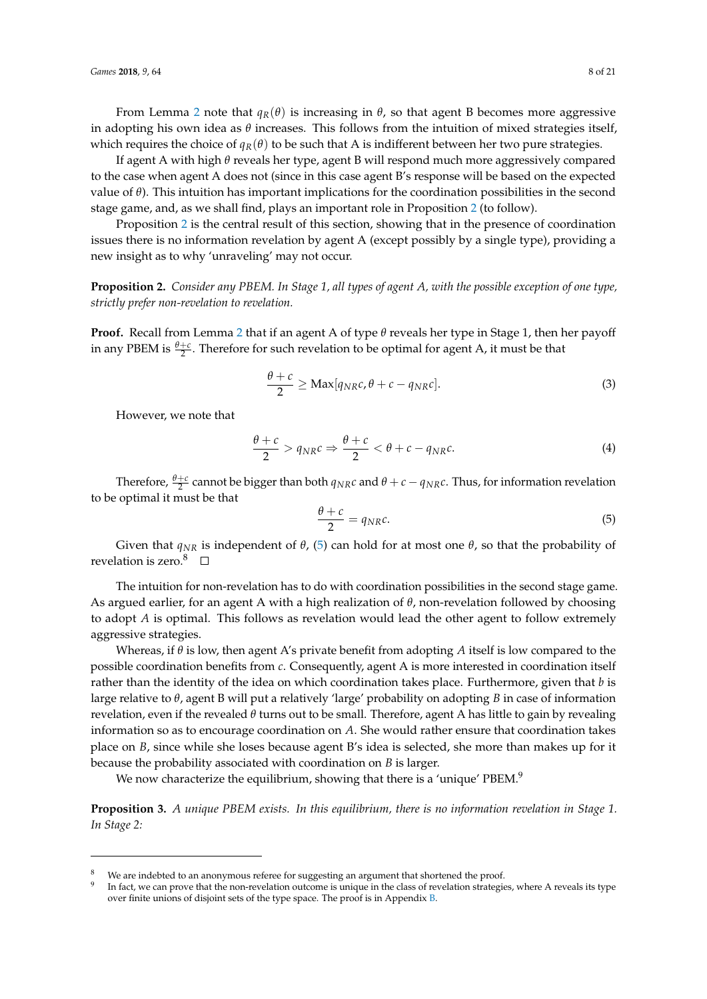From Lemma [2](#page-6-0) note that  $q_R(\theta)$  is increasing in  $\theta$ , so that agent B becomes more aggressive in adopting his own idea as *θ* increases. This follows from the intuition of mixed strategies itself, which requires the choice of  $q_R(\theta)$  to be such that A is indifferent between her two pure strategies.

If agent A with high *θ* reveals her type, agent B will respond much more aggressively compared to the case when agent A does not (since in this case agent B's response will be based on the expected value of *θ*). This intuition has important implications for the coordination possibilities in the second stage game, and, as we shall find, plays an important role in Proposition [2](#page-7-0) (to follow).

Proposition [2](#page-7-0) is the central result of this section, showing that in the presence of coordination issues there is no information revelation by agent A (except possibly by a single type), providing a new insight as to why 'unraveling' may not occur.

<span id="page-7-0"></span>**Proposition 2.** *Consider any PBEM. In Stage 1, all types of agent A, with the possible exception of one type, strictly prefer non-revelation to revelation.*

**Proof.** Recall from Lemma [2](#page-6-0) that if an agent A of type *θ* reveals her type in Stage 1, then her payoff in any PBEM is  $\frac{\theta+\epsilon}{2}$ . Therefore for such revelation to be optimal for agent A, it must be that

$$
\frac{\theta+c}{2} \ge \text{Max}[q_{NR}c, \theta + c - q_{NR}c].
$$
\n(3)

However, we note that

$$
\frac{\theta+c}{2} > q_{NR}c \Rightarrow \frac{\theta+c}{2} < \theta+c-q_{NR}c.
$$
 (4)

Therefore,  $\frac{\theta+c}{2}$  cannot be bigger than both  $q_{NR}c$  and  $\theta+c-q_{NR}c$ . Thus, for information revelation to be optimal it must be that

<span id="page-7-1"></span>
$$
\frac{\theta + c}{2} = q_{NR}c.
$$
 (5)

Given that  $q_{NR}$  is independent of  $\theta$ , [\(5\)](#page-7-1) can hold for at most one  $\theta$ , so that the probability of revelation is zero.<sup>8</sup>  $\Box$ 

The intuition for non-revelation has to do with coordination possibilities in the second stage game. As argued earlier, for an agent A with a high realization of *θ*, non-revelation followed by choosing to adopt *A* is optimal. This follows as revelation would lead the other agent to follow extremely aggressive strategies.

Whereas, if *θ* is low, then agent A's private benefit from adopting *A* itself is low compared to the possible coordination benefits from *c*. Consequently, agent A is more interested in coordination itself rather than the identity of the idea on which coordination takes place. Furthermore, given that *b* is large relative to *θ*, agent B will put a relatively 'large' probability on adopting *B* in case of information revelation, even if the revealed *θ* turns out to be small. Therefore, agent A has little to gain by revealing information so as to encourage coordination on *A*. She would rather ensure that coordination takes place on *B*, since while she loses because agent B's idea is selected, she more than makes up for it because the probability associated with coordination on *B* is larger.

We now characterize the equilibrium, showing that there is a 'unique' PBEM.<sup>9</sup>

<span id="page-7-2"></span>**Proposition 3.** *A unique PBEM exists. In this equilibrium, there is no information revelation in Stage 1. In Stage 2:*

We are indebted to an anonymous referee for suggesting an argument that shortened the proof.

<sup>9</sup> In fact, we can prove that the non-revelation outcome is unique in the class of revelation strategies, where A reveals its type over finite unions of disjoint sets of the type space. The proof is in Appendix [B.](#page-17-1)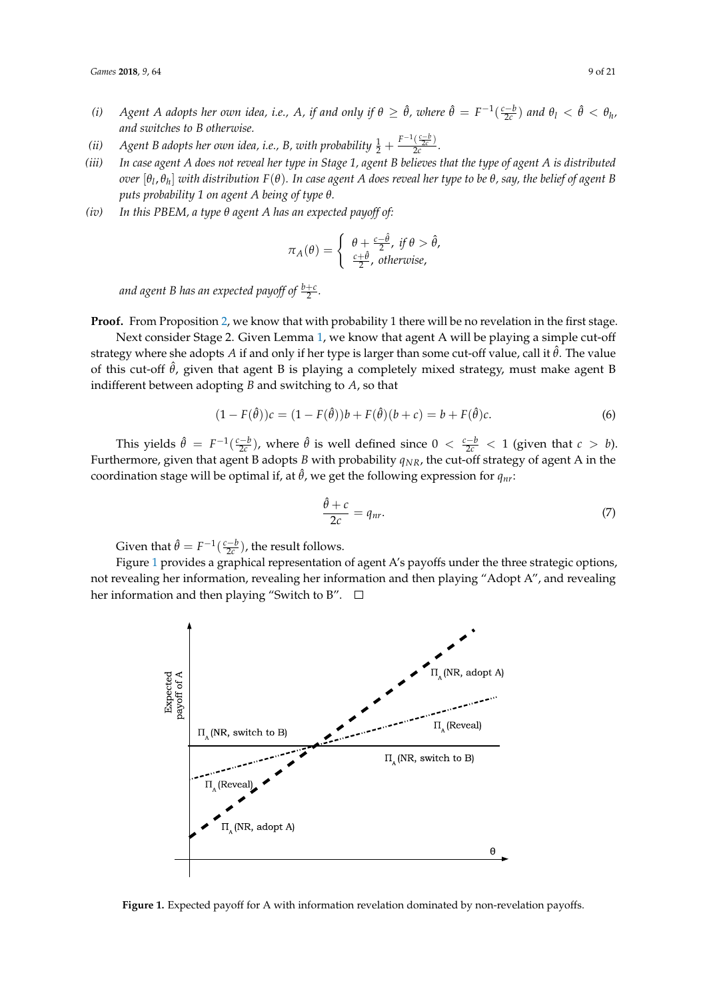- (i) Agent A adopts her own idea, i.e., A, if and only if  $\theta \ge \hat{\theta}$ , where  $\hat{\theta} = F^{-1}(\frac{c-b}{2c})$  and  $\theta_l < \hat{\theta} < \theta_h$ , *and switches to B otherwise.*
- (*ii*) Agent B adopts her own idea, i.e., B, with probability  $\frac{1}{2} + \frac{F^{-1}(\frac{c-b}{2c})}{2c}$  $\frac{(2c)}{2c}$ .
- *(iii) In case agent A does not reveal her type in Stage 1, agent B believes that the type of agent A is distributed over* [*θ<sup>l</sup>* , *θ<sup>h</sup>* ] *with distribution F*(*θ*)*. In case agent A does reveal her type to be θ, say, the belief of agent B puts probability 1 on agent A being of type θ.*
- *(iv) In this PBEM, a type θ agent A has an expected payoff of:*

$$
\pi_A(\theta) = \begin{cases} \theta + \frac{c - \hat{\theta}}{2}, & \text{if } \theta > \hat{\theta}, \\ \frac{c + \hat{\theta}}{2}, & \text{otherwise}, \end{cases}
$$

and agent B has an expected payoff of  $\frac{b+c}{2}$ .

**Proof.** From Proposition [2,](#page-7-0) we know that with probability 1 there will be no revelation in the first stage.

Next consider Stage 2. Given Lemma [1,](#page-6-1) we know that agent A will be playing a simple cut-off strategy where she adopts *A* if and only if her type is larger than some cut-off value, call it  $\hat{\theta}$ . The value of this cut-off  $\hat{\theta}$ , given that agent B is playing a completely mixed strategy, must make agent B indifferent between adopting *B* and switching to *A*, so that

$$
(1 - F(\hat{\theta}))c = (1 - F(\hat{\theta}))b + F(\hat{\theta})(b + c) = b + F(\hat{\theta})c.
$$
\n(6)

This yields  $\hat{\theta} = F^{-1}(\frac{c-b}{2c})$ , where  $\hat{\theta}$  is well defined since  $0 < \frac{c-b}{2c} < 1$  (given that  $c > b$ ). Furthermore, given that agent B adopts *B* with probability *qNR*, the cut-off strategy of agent A in the coordination stage will be optimal if, at  $\hat{\theta}$ , we get the following expression for  $q_{nr}$ :

$$
\frac{\hat{\theta} + c}{2c} = q_{nr}.\tag{7}
$$

Given that  $\hat{\theta} = F^{-1}(\frac{c-b}{2c})$ , the result follows.

<span id="page-8-0"></span>Figure [1](#page-8-0) provides a graphical representation of agent A's payoffs under the three strategic options, not revealing her information, revealing her information and then playing "Adopt A", and revealing her information and then playing "Switch to B".



**Figure 1.** Expected payoff for A with information revelation dominated by non-revelation payoffs.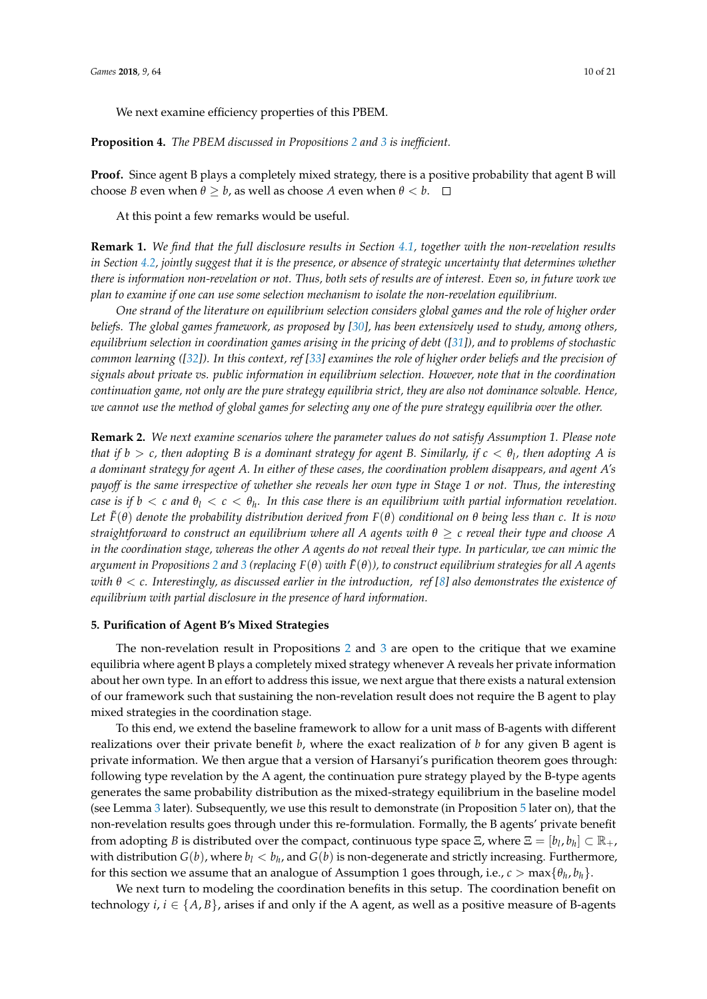#### **Proposition 4.** *The PBEM discussed in Propositions [2](#page-7-0) and [3](#page-7-2) is inefficient.*

**Proof.** Since agent B plays a completely mixed strategy, there is a positive probability that agent B will choose *B* even when  $\theta \geq b$ , as well as choose *A* even when  $\theta < b$ .  $\Box$ 

At this point a few remarks would be useful.

**Remark 1.** *We find that the full disclosure results in Section [4.1,](#page-5-1) together with the non-revelation results in Section [4.2,](#page-6-2) jointly suggest that it is the presence, or absence of strategic uncertainty that determines whether there is information non-revelation or not. Thus, both sets of results are of interest. Even so, in future work we plan to examine if one can use some selection mechanism to isolate the non-revelation equilibrium.*

*One strand of the literature on equilibrium selection considers global games and the role of higher order beliefs. The global games framework, as proposed by [\[30\]](#page-20-4), has been extensively used to study, among others, equilibrium selection in coordination games arising in the pricing of debt ([\[31\]](#page-20-5)), and to problems of stochastic common learning ([\[32\]](#page-20-6)). In this context, ref [\[33\]](#page-20-7) examines the role of higher order beliefs and the precision of signals about private vs. public information in equilibrium selection. However, note that in the coordination continuation game, not only are the pure strategy equilibria strict, they are also not dominance solvable. Hence, we cannot use the method of global games for selecting any one of the pure strategy equilibria over the other.*

<span id="page-9-1"></span>**Remark 2.** *We next examine scenarios where the parameter values do not satisfy Assumption 1. Please note that if b* > *c, then adopting B is a dominant strategy for agent B. Similarly, if c* < *θ<sup>l</sup> , then adopting A is a dominant strategy for agent A. In either of these cases, the coordination problem disappears, and agent A's payoff is the same irrespective of whether she reveals her own type in Stage 1 or not. Thus, the interesting*  $\cos e$  is if  $b < c$  and  $\theta_l < c < \theta_h$ . In this case there is an equilibrium with partial information revelation. *Let F*˜(*θ*) *denote the probability distribution derived from F*(*θ*) *conditional on θ being less than c. It is now straightforward to construct an equilibrium where all A agents with*  $\theta \geq c$  *reveal their type and choose A in the coordination stage, whereas the other A agents do not reveal their type. In particular, we can mimic the argument in Propositions* [2](#page-7-0) *and* [3](#page-7-2) (replacing  $F(\theta)$  *with*  $\tilde{F}(\theta)$ *), to construct equilibrium strategies for all A agents with*  $\theta$  < *c.* Interestingly, as discussed earlier in the introduction, ref [\[8\]](#page-19-7) also demonstrates the existence of *equilibrium with partial disclosure in the presence of hard information.*

#### <span id="page-9-0"></span>**5. Purification of Agent B's Mixed Strategies**

The non-revelation result in Propositions [2](#page-7-0) and [3](#page-7-2) are open to the critique that we examine equilibria where agent B plays a completely mixed strategy whenever A reveals her private information about her own type. In an effort to address this issue, we next argue that there exists a natural extension of our framework such that sustaining the non-revelation result does not require the B agent to play mixed strategies in the coordination stage.

To this end, we extend the baseline framework to allow for a unit mass of B-agents with different realizations over their private benefit *b*, where the exact realization of *b* for any given B agent is private information. We then argue that a version of Harsanyi's purification theorem goes through: following type revelation by the A agent, the continuation pure strategy played by the B-type agents generates the same probability distribution as the mixed-strategy equilibrium in the baseline model (see Lemma [3](#page-10-0) later). Subsequently, we use this result to demonstrate (in Proposition [5](#page-12-0) later on), that the non-revelation results goes through under this re-formulation. Formally, the B agents' private benefit from adopting *B* is distributed over the compact, continuous type space Ξ, where  $\Xi = [b_l, b_h] \subset \mathbb{R}_+$ , with distribution  $G(b)$ , where  $b_l < b_h$ , and  $G(b)$  is non-degenerate and strictly increasing. Furthermore, for this section we assume that an analogue of Assumption 1 goes through, i.e.,  $c > \max\{\theta_h, b_h\}$ .

We next turn to modeling the coordination benefits in this setup. The coordination benefit on technology *i*,  $i \in \{A, B\}$ , arises if and only if the A agent, as well as a positive measure of B-agents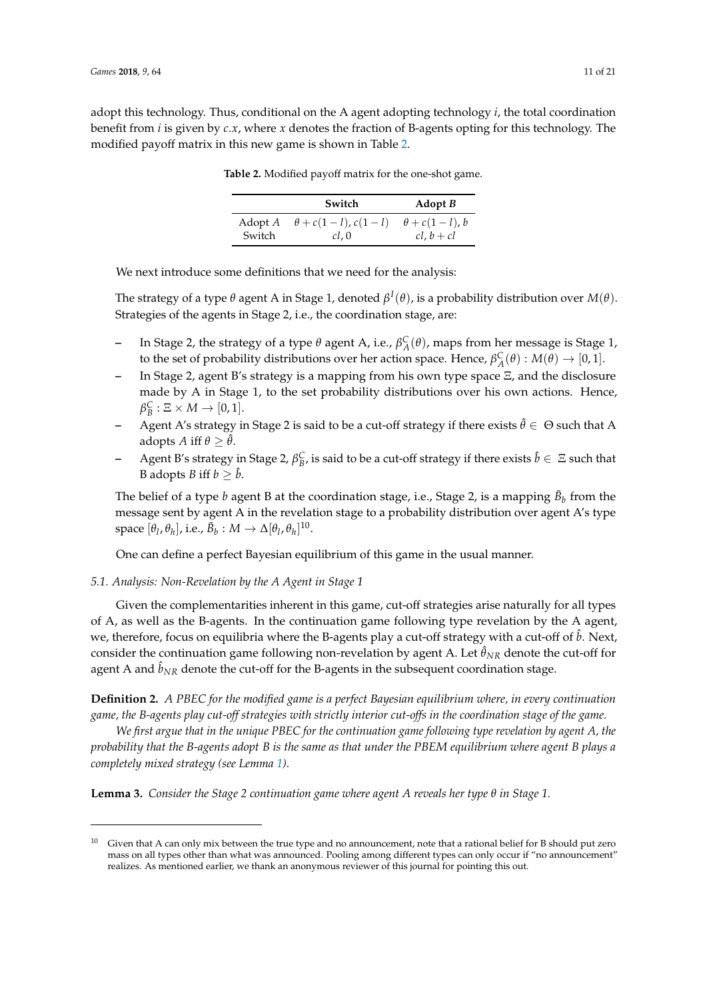<span id="page-10-1"></span>adopt this technology. Thus, conditional on the A agent adopting technology *i*, the total coordination benefit from *i* is given by *c*.*x*, where *x* denotes the fraction of B-agents opting for this technology. The modified payoff matrix in this new game is shown in Table [2.](#page-10-1)

|        | Switch                                             | Adopt $B$                             |
|--------|----------------------------------------------------|---------------------------------------|
| Switch | Adopt $A \quad \theta + c(1-l)$ , $c(1-l)$<br>cl.0 | $\theta + c(1-l)$ , b<br>$cl, b + cl$ |

**Table 2.** Modified payoff matrix for the one-shot game.

We next introduce some definitions that we need for the analysis:

The strategy of a type *θ* agent A in Stage 1, denoted *β I* (*θ*), is a probability distribution over *M*(*θ*). Strategies of the agents in Stage 2, i.e., the coordination stage, are:

- **–** In Stage 2, the strategy of a type *θ* agent A, i.e.,  $β_A^C(θ)$ , maps from her message is Stage 1, to the set of probability distributions over her action space. Hence,  $\beta_A^C(\theta): M(\theta) \to [0,1]$ .
- **–** In Stage 2, agent B's strategy is a mapping from his own type space Ξ, and the disclosure made by A in Stage 1, to the set probability distributions over his own actions. Hence,  $\beta_B^C : \Xi \times M \to [0,1].$
- Agent A's strategy in Stage 2 is said to be a cut-off strategy if there exists  $\hat{\theta} \in \Theta$  such that A adopts *A* iff  $\theta \geq \hat{\theta}$ .
- **–** Agent B's strategy in Stage 2,  $\beta_B^C$ , is said to be a cut-off strategy if there exists  $\hat{b} \in \Xi$  such that B adopts *B* iff  $b \geq \hat{b}$ .

The belief of a type *b* agent B at the coordination stage, i.e., Stage 2, is a mapping  $\bar{B}_b$  from the message sent by agent A in the revelation stage to a probability distribution over agent A's type  ${\rm space}~[\theta_l,\theta_h]$ , i.e.,  $\bar B_b: M \to \Delta[\theta_l,\theta_h]^{10}.$ 

One can define a perfect Bayesian equilibrium of this game in the usual manner.

*5.1. Analysis: Non-Revelation by the A Agent in Stage 1*

Given the complementarities inherent in this game, cut-off strategies arise naturally for all types of A, as well as the B-agents. In the continuation game following type revelation by the A agent, we, therefore, focus on equilibria where the B-agents play a cut-off strategy with a cut-off of  $\hat{b}$ . Next, consider the continuation game following non-revelation by agent A. Let  $\hat{\theta}_{NR}$  denote the cut-off for agent A and  $\hat{b}_{NR}$  denote the cut-off for the B-agents in the subsequent coordination stage.

**Definition 2.** *A PBEC for the modified game is a perfect Bayesian equilibrium where, in every continuation game, the B-agents play cut-off strategies with strictly interior cut-offs in the coordination stage of the game.*

*We first argue that in the unique PBEC for the continuation game following type revelation by agent A, the probability that the B-agents adopt B is the same as that under the PBEM equilibrium where agent B plays a completely mixed strategy (see Lemma [1\)](#page-6-1).*

<span id="page-10-0"></span>**Lemma 3.** *Consider the Stage 2 continuation game where agent A reveals her type θ in Stage 1.*

<sup>&</sup>lt;sup>10</sup> Given that A can only mix between the true type and no announcement, note that a rational belief for B should put zero mass on all types other than what was announced. Pooling among different types can only occur if "no announcement" realizes. As mentioned earlier, we thank an anonymous reviewer of this journal for pointing this out.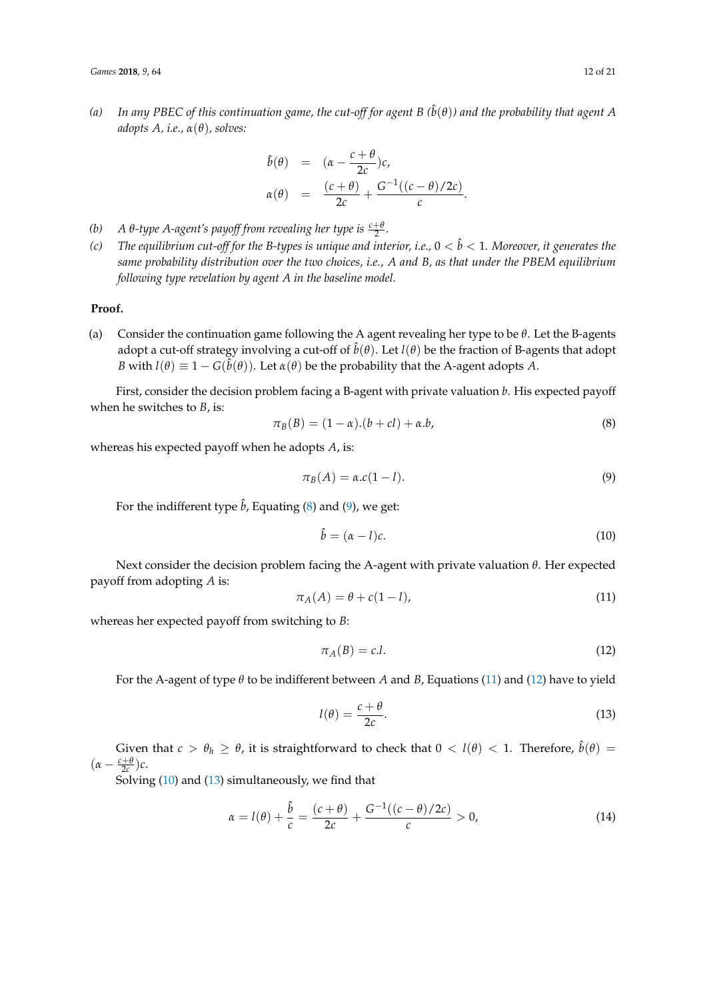$(a)$  *In any PBEC of this continuation game, the cut-off for agent B*  $(\hat{b}(\theta))$  *and the probability that agent A adopts A, i.e., α*(*θ*)*, solves:*

$$
\hat{b}(\theta) = (\alpha - \frac{c + \theta}{2c})c,
$$
  
\n
$$
\alpha(\theta) = \frac{(c + \theta)}{2c} + \frac{G^{-1}((c - \theta)/2c)}{c}.
$$

- *(b) A θ*-type A-agent's payoff from revealing her type is  $\frac{c+\theta}{2}$ .
- *(c)* The equilibrium cut-off for the B-types is unique and interior, i.e.,  $0 < \hat{b} < 1$ . Moreover, it generates the *same probability distribution over the two choices, i.e., A and B, as that under the PBEM equilibrium following type revelation by agent A in the baseline model.*

# **Proof.**

(a) Consider the continuation game following the A agent revealing her type to be *θ*. Let the B-agents adopt a cut-off strategy involving a cut-off of  $\hat{b}(\theta)$ . Let  $l(\theta)$  be the fraction of B-agents that adopt *B* with  $l(\theta) \equiv 1 - G(\hat{b}(\theta))$ . Let  $\alpha(\theta)$  be the probability that the A-agent adopts *A*.

First, consider the decision problem facing a B-agent with private valuation *b*. His expected payoff when he switches to *B*, is:

<span id="page-11-0"></span>
$$
\pi_B(B) = (1 - \alpha)(b + cl) + \alpha.b,\tag{8}
$$

whereas his expected payoff when he adopts *A*, is:

<span id="page-11-1"></span>
$$
\pi_B(A) = \alpha \cdot c(1 - l). \tag{9}
$$

For the indifferent type  $\hat{b}$ , Equating [\(8\)](#page-11-0) and [\(9\)](#page-11-1), we get:

<span id="page-11-4"></span>
$$
\hat{b} = (\alpha - l)c.\tag{10}
$$

Next consider the decision problem facing the A-agent with private valuation *θ*. Her expected payoff from adopting *A* is:

<span id="page-11-2"></span>
$$
\pi_A(A) = \theta + c(1 - l),\tag{11}
$$

whereas her expected payoff from switching to *B*:

<span id="page-11-3"></span>
$$
\pi_A(B) = c.l. \tag{12}
$$

For the A-agent of type *θ* to be indifferent between *A* and *B*, Equations [\(11\)](#page-11-2) and [\(12\)](#page-11-3) have to yield

<span id="page-11-5"></span>
$$
l(\theta) = \frac{c + \theta}{2c}.\tag{13}
$$

Given that  $c > \theta_h \ge \theta$ , it is straightforward to check that  $0 < l(\theta) < 1$ . Therefore,  $\hat{b}(\theta) =$  $(\alpha - \frac{c+\theta}{2c})c$ .

Solving [\(10\)](#page-11-4) and [\(13\)](#page-11-5) simultaneously, we find that

$$
\alpha = l(\theta) + \frac{\hat{b}}{c} = \frac{(c+\theta)}{2c} + \frac{G^{-1}((c-\theta)/2c)}{c} > 0,
$$
\n(14)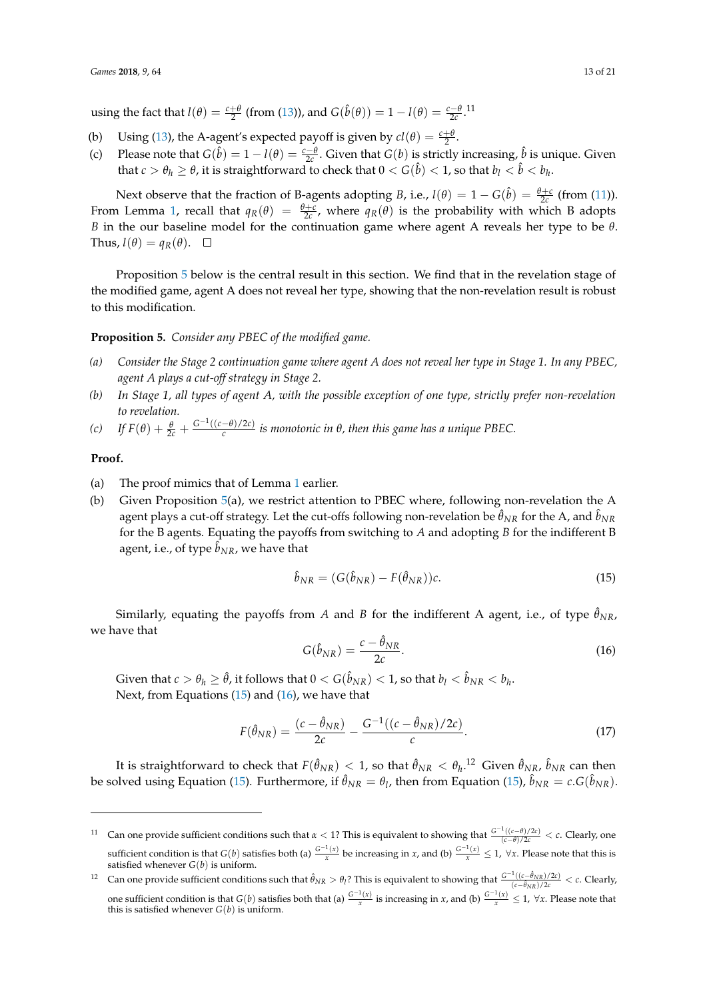using the fact that  $l(\theta) = \frac{c+\theta}{2}$  (from [\(13\)](#page-11-5)), and  $G(\hat{b}(\theta)) = 1 - l(\theta) = \frac{c-\theta}{2c}$ .<sup>11</sup>

- (b) Using [\(13\)](#page-11-5), the A-agent's expected payoff is given by  $cl(\theta) = \frac{c+\theta}{2}$ .
- (c) Please note that  $G(\hat{b}) = 1 l(\theta) = \frac{c \theta}{2c}$ . Given that  $G(b)$  is strictly increasing,  $\hat{b}$  is unique. Given that  $c > \theta_h \geq \theta$ , it is straightforward to check that  $0 < G(\hat{b}) < 1$ , so that  $b_l < \hat{b} < b_h$ .

Next observe that the fraction of B-agents adopting *B*, i.e.,  $l(\theta) = 1 - G(\hat{b}) = \frac{\theta + c}{2c}$  (from [\(11\)](#page-11-2)). From Lemma [1,](#page-6-1) recall that  $q_R(\theta) = \frac{\theta+c}{2c}$ , where  $q_R(\theta)$  is the probability with which B adopts *B* in the our baseline model for the continuation game where agent A reveals her type to be *θ*. Thus,  $l(\theta) = q_R(\theta)$ .  $\Box$ 

Proposition [5](#page-12-0) below is the central result in this section. We find that in the revelation stage of the modified game, agent A does not reveal her type, showing that the non-revelation result is robust to this modification.

<span id="page-12-0"></span>**Proposition 5.** *Consider any PBEC of the modified game.*

- *(a) Consider the Stage 2 continuation game where agent A does not reveal her type in Stage 1. In any PBEC, agent A plays a cut-off strategy in Stage 2.*
- *(b) In Stage 1, all types of agent A, with the possible exception of one type, strictly prefer non-revelation to revelation.*
- *(c)*  $If F(\theta) + \frac{\theta}{2c} + \frac{G^{-1}((c-\theta)/2c)}{c}$  is monotonic in  $\theta$ , then this game has a unique PBEC.

# **Proof.**

- (a) The proof mimics that of Lemma [1](#page-6-1) earlier.
- (b) Given Proposition [5\(](#page-12-0)a), we restrict attention to PBEC where, following non-revelation the A agent plays a cut-off strategy. Let the cut-offs following non-revelation be  $\hat{\theta}_{NR}$  for the A, and  $\hat{b}_{NR}$ for the B agents. Equating the payoffs from switching to *A* and adopting *B* for the indifferent B agent, i.e., of type  $\hat{b}_{NR}$ , we have that

<span id="page-12-1"></span>
$$
\hat{b}_{NR} = (G(\hat{b}_{NR}) - F(\hat{\theta}_{NR}))c.
$$
\n(15)

Similarly, equating the payoffs from *A* and *B* for the indifferent A agent, i.e., of type  $\hat{\theta}_{NR}$ , we have that

<span id="page-12-2"></span>
$$
G(\hat{b}_{NR}) = \frac{c - \hat{\theta}_{NR}}{2c}.
$$
\n(16)

 $G$ iven that  $c > \theta_h \geq \hat{\theta}$ , it follows that  $0 < G(\hat{b}_{NR}) < 1$ , so that  $b_l < \hat{b}_{NR} < b_h$ . Next, from Equations [\(15\)](#page-12-1) and [\(16\)](#page-12-2), we have that

$$
F(\hat{\theta}_{NR}) = \frac{(c - \hat{\theta}_{NR})}{2c} - \frac{G^{-1}((c - \hat{\theta}_{NR})/2c)}{c}.
$$
 (17)

It is straightforward to check that  $F(\hat\theta_{NR}) < 1$ , so that  $\hat\theta_{NR} < \theta_h$ .<sup>12</sup> Given  $\hat\theta_{NR}$ ,  $\hat b_{NR}$  can then be solved using Equation [\(15\)](#page-12-1). Furthermore, if  $\hat{\theta}_{NR}=\theta_l$ , then from Equation (15),  $\hat{b}_{NR}=c.G(\hat{b}_{NR}).$ 

<sup>&</sup>lt;sup>11</sup> Can one provide sufficient conditions such that *α* < 1? This is equivalent to showing that  $\frac{G^{-1}((c-\theta)/2c)}{(c-\theta)/2c}$  < *c*. Clearly, one sufficient condition is that  $G(b)$  satisfies both (a)  $\frac{G^{-1}(x)}{x}$  be increasing in *x*, and (b)  $\frac{G^{-1}(x)}{x} \le 1$ ,  $\forall x$ . Please note that this is satisfied whenever  $G(b)$  is uniform.

<sup>&</sup>lt;sup>12</sup> Can one provide sufficient conditions such that  $\hat{\theta}_{NR} > \theta_l$ ? This is equivalent to showing that  $\frac{G^{-1}((c-\hat{\theta}_{NR})/2c)}{(c-\hat{\theta}_{NR})/2c} < c$ . Clearly, one sufficient condition is that  $G(b)$  satisfies both that (a)  $\frac{G^{-1}(x)}{x}$  is increasing in *x*, and (b)  $\frac{G^{-1}(x)}{x} \le 1$ ,  $\forall x$ . Please note that this is satisfied whenever  $G(b)$  is uniform.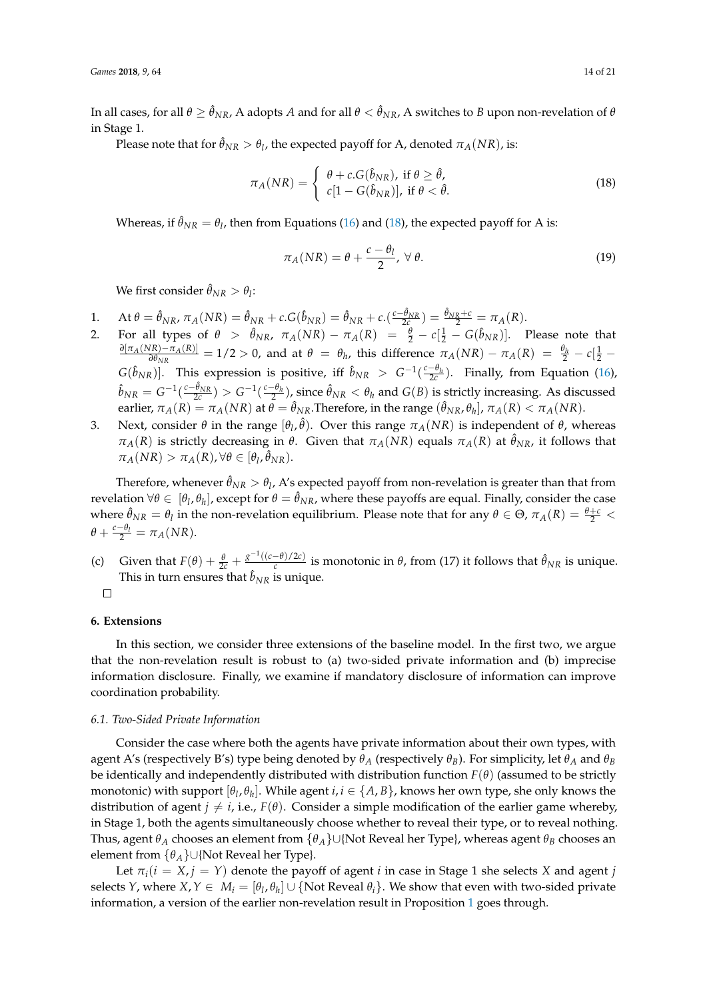In all cases, for all  $θ \ge θ_{NR}$ , A adopts *A* and for all  $θ < θ_{NR}$ , A switches to *B* upon non-revelation of  $θ$ in Stage 1.

Please note that for  $\hat{\theta}_{NR} > \theta_l$ , the expected payoff for A, denoted  $\pi_A(NR)$ , is:

<span id="page-13-1"></span>
$$
\pi_A(NR) = \begin{cases} \theta + c.G(\hat{b}_{NR}), \text{ if } \theta \ge \hat{\theta}, \\ c[1 - G(\hat{b}_{NR})], \text{ if } \theta < \hat{\theta}. \end{cases}
$$
\n(18)

Whereas, if  $\hat{\theta}_{NR} = \theta_l$ , then from Equations [\(16\)](#page-12-2) and [\(18\)](#page-13-1), the expected payoff for A is:

$$
\pi_A(NR) = \theta + \frac{c - \theta_l}{2}, \,\forall \,\theta. \tag{19}
$$

We first consider  $\hat{\theta}_{NR} > \theta_l$ :

- 1. At  $\theta = \hat{\theta}_{NR}, \pi_A(NR) = \hat{\theta}_{NR} + c.G(\hat{b}_{NR}) = \hat{\theta}_{NR} + c.(\frac{c \hat{\theta}_{NR}}{2c}) = \frac{\hat{\theta}_{NR} + c}{2} = \pi_A(R).$
- 2. For all types of  $\theta > \hat{\theta}_{NR}$ ,  $\pi_A(NR) \pi_A(R) = \frac{\theta}{2} c[\frac{1}{2} G(\hat{b}_{NR})]$ . Please note that  $\partial$ [*π*<sub>*A*</sub>(*NR*)−*π*<sub>*A*</sub>(*R*)]  $\frac{\partial R}{\partial \theta_{NR}} = 1/2 > 0$ , and at  $\theta = \theta_h$ , this difference  $\pi_A(NR) - \pi_A(R) = \frac{\theta_h}{2} - c[\frac{1}{2} - \frac{1}{2}]$  $G(\hat{b}_{NR})$ ]. This expression is positive, iff  $\hat{b}_{NR} > G^{-1}(\frac{c-\theta_h}{2c})$ . Finally, from Equation [\(16\)](#page-12-2),  $\hat{b}_{NR}=G^{-1}(\frac{c-\hat{\theta}_{NR}}{2c})>G^{-1}(\frac{c-\theta_h}{2})$ , since  $\hat{\theta}_{NR}<\theta_h$  and  $G(B)$  is strictly increasing. As discussed  $\epsilon$  earlier,  $\pi_A(R) = \pi_A(NR)$  at  $\theta = \hat{\theta}_{NR}$ . Therefore, in the range  $(\hat{\theta}_{NR}, \theta_h]$ ,  $\pi_A(R) < \pi_A(NR)$ .
- 3. Next, consider  $θ$  in the range  $[θ_l, θ)$ . Over this range  $π_A(NR)$  is independent of  $θ$ , whereas *π*<sub>*A*</sub>(*R*) is strictly decreasing in *θ*. Given that  $π<sub>A</sub>(NR)$  equals  $π<sub>A</sub>(R)$  at  $\hat{θ}_{NR}$ , it follows that  $\pi_A(NR) > \pi_A(R), \forall \theta \in [\theta_l, \hat{\theta}_{NR}).$

Therefore, whenever  $\hat{\theta}_{NR} > \theta_l$ , A's expected payoff from non-revelation is greater than that from  $a$  revelation  $\forall θ ∈ [θ_l, θ_h]$ , except for  $θ = θ_{NR}$ , where these payoffs are equal. Finally, consider the case where  $\hat{\theta}_{NR} = \theta_l$  in the non-revelation equilibrium. Please note that for any  $\theta \in \Theta$ ,  $\pi_A(R) = \frac{\theta+c}{2}$  $\theta + \frac{c - \theta_l}{2} = \pi_A(NR).$ 

(c) Given that  $F(\theta) + \frac{\theta}{2c} + \frac{g^{-1}((c-\theta)/2c)}{c}$  is monotonic in  $\theta$ , from (17) it follows that  $\hat{\theta}_{NR}$  is unique. This in turn ensures that  $\hat{b}_{NR}$  is unique.

$$
\Box_{\parallel}
$$

# <span id="page-13-0"></span>**6. Extensions**

In this section, we consider three extensions of the baseline model. In the first two, we argue that the non-revelation result is robust to (a) two-sided private information and (b) imprecise information disclosure. Finally, we examine if mandatory disclosure of information can improve coordination probability.

#### *6.1. Two-Sided Private Information*

Consider the case where both the agents have private information about their own types, with agent A's (respectively B's) type being denoted by  $\theta_A$  (respectively  $\theta_B$ ). For simplicity, let  $\theta_A$  and  $\theta_B$ be identically and independently distributed with distribution function  $F(\theta)$  (assumed to be strictly monotonic) with support  $[\theta_l, \theta_h]$ . While agent  $i, i \in \{A, B\}$ , knows her own type, she only knows the distribution of agent  $j \neq i$ , i.e.,  $F(\theta)$ . Consider a simple modification of the earlier game whereby, in Stage 1, both the agents simultaneously choose whether to reveal their type, or to reveal nothing. Thus, agent  $\theta_A$  chooses an element from  $\{\theta_A\}$ ∪{Not Reveal her Type}, whereas agent  $\theta_B$  chooses an element from {*θA*}∪{Not Reveal her Type}.

Let  $\pi_i$  (*i* = *X*, *j* = *Y*) denote the payoff of agent *i* in case in Stage 1 she selects *X* and agent *j* selects *Y*, where  $X, Y \in M_i = [\theta_l, \theta_h] \cup \{Not \, Recall \, \theta_i\}$ . We show that even with two-sided private information, a version of the earlier non-revelation result in Proposition [1](#page-5-2) goes through.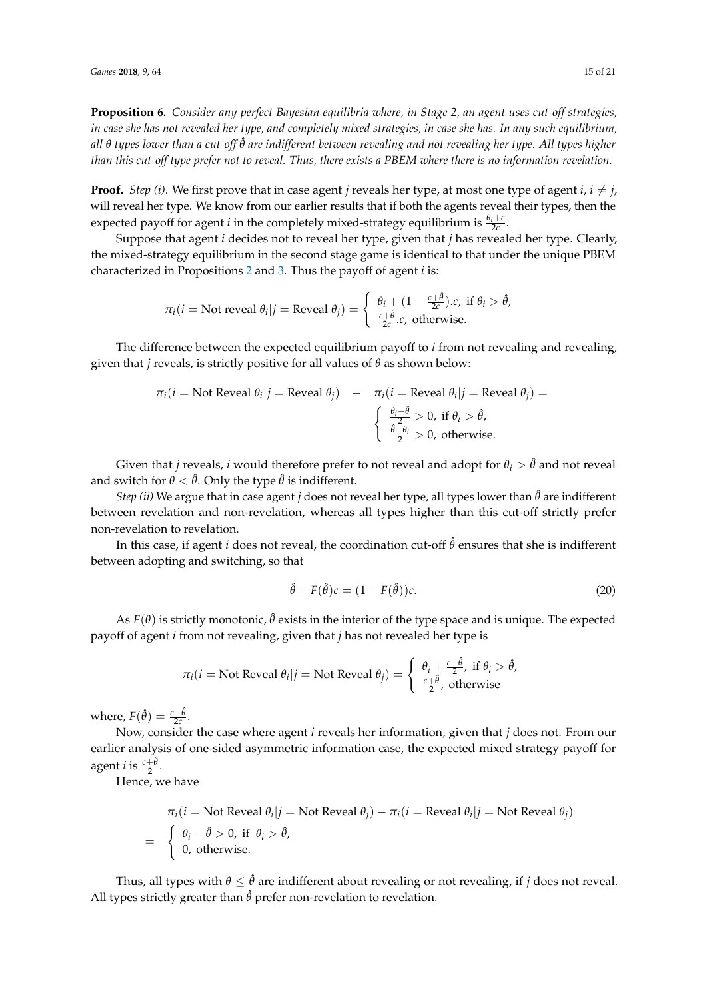**Proposition 6.** *Consider any perfect Bayesian equilibria where, in Stage 2, an agent uses cut-off strategies, in case she has not revealed her type, and completely mixed strategies, in case she has. In any such equilibrium, all θ types lower than a cut-off* ˆ*θ are indifferent between revealing and not revealing her type. All types higher than this cut-off type prefer not to reveal. Thus, there exists a PBEM where there is no information revelation.*

**Proof.** *Step (i)*. We first prove that in case agent *j* reveals her type, at most one type of agent *i*,  $i \neq j$ , will reveal her type. We know from our earlier results that if both the agents reveal their types, then the expected payoff for agent *i* in the completely mixed-strategy equilibrium is  $\frac{\theta_i + c}{2c}$ .

Suppose that agent *i* decides not to reveal her type, given that *j* has revealed her type. Clearly, the mixed-strategy equilibrium in the second stage game is identical to that under the unique PBEM characterized in Propositions [2](#page-7-0) and [3.](#page-7-2) Thus the payoff of agent *i* is:

$$
\pi_i(i = \text{Not reveal } \theta_i | j = \text{Reveal } \theta_j) = \begin{cases} \theta_i + (1 - \frac{c + \hat{\theta}}{2c}).c, \text{ if } \theta_i > \hat{\theta}, \\ \frac{c + \hat{\theta}}{2c}.c, \text{ otherwise.} \end{cases}
$$

The difference between the expected equilibrium payoff to *i* from not revealing and revealing, given that *j* reveals, is strictly positive for all values of *θ* as shown below:

$$
\pi_i(i = \text{Not Reveal } \theta_i | j = \text{Reveal } \theta_j) \quad - \quad \pi_i(i = \text{Reveal } \theta_i | j = \text{Reveal } \theta_j) =
$$
\n
$$
\begin{cases}\n\frac{\theta_i - \hat{\theta}}{2} > 0, \text{ if } \theta_i > \hat{\theta}, \\
\frac{\hat{\theta} - \theta_i}{2} > 0, \text{ otherwise.} \n\end{cases}
$$

Given that *j* reveals, *i* would therefore prefer to not reveal and adopt for  $\theta_i > \hat{\theta}$  and not reveal and switch for  $\theta < \hat{\theta}$ . Only the type  $\hat{\theta}$  is indifferent.

*Step (ii)* We argue that in case agent *j* does not reveal her type, all types lower than  $\hat{\theta}$  are indifferent between revelation and non-revelation, whereas all types higher than this cut-off strictly prefer non-revelation to revelation.

In this case, if agent *i* does not reveal, the coordination cut-off  $\hat{\theta}$  ensures that she is indifferent between adopting and switching, so that

$$
\hat{\theta} + F(\hat{\theta})c = (1 - F(\hat{\theta}))c.
$$
\n(20)

As  $F(\theta)$  is strictly monotonic,  $\hat{\theta}$  exists in the interior of the type space and is unique. The expected payoff of agent *i* from not revealing, given that *j* has not revealed her type is

$$
\pi_i(i = \text{Not Reveal } \theta_i | j = \text{Not Reveal } \theta_j) = \begin{cases} \theta_i + \frac{c - \hat{\theta}}{2}, & \text{if } \theta_i > \hat{\theta}, \\ \frac{c + \hat{\theta}}{2}, & \text{otherwise} \end{cases}
$$

where,  $F(\hat{\theta}) = \frac{c - \hat{\theta}}{2c}$ .

Now, consider the case where agent *i* reveals her information, given that *j* does not. From our earlier analysis of one-sided asymmetric information case, the expected mixed strategy payoff for agent *i* is  $\frac{c+\hat{\theta}}{2}$ .

Hence, we have

$$
\pi_i(i = \text{Not Reveal } \theta_i | j = \text{Not Reveal } \theta_j) - \pi_i(i = \text{Reveal } \theta_i | j = \text{Not Reveal } \theta_j)
$$
\n
$$
= \begin{cases} \theta_i - \hat{\theta} > 0, \text{ if } \theta_i > \hat{\theta}, \\ 0, \text{ otherwise.} \end{cases}
$$

Thus, all types with  $\theta \leq \hat{\theta}$  are indifferent about revealing or not revealing, if *j* does not reveal. All types strictly greater than  $\hat{\theta}$  prefer non-revelation to revelation.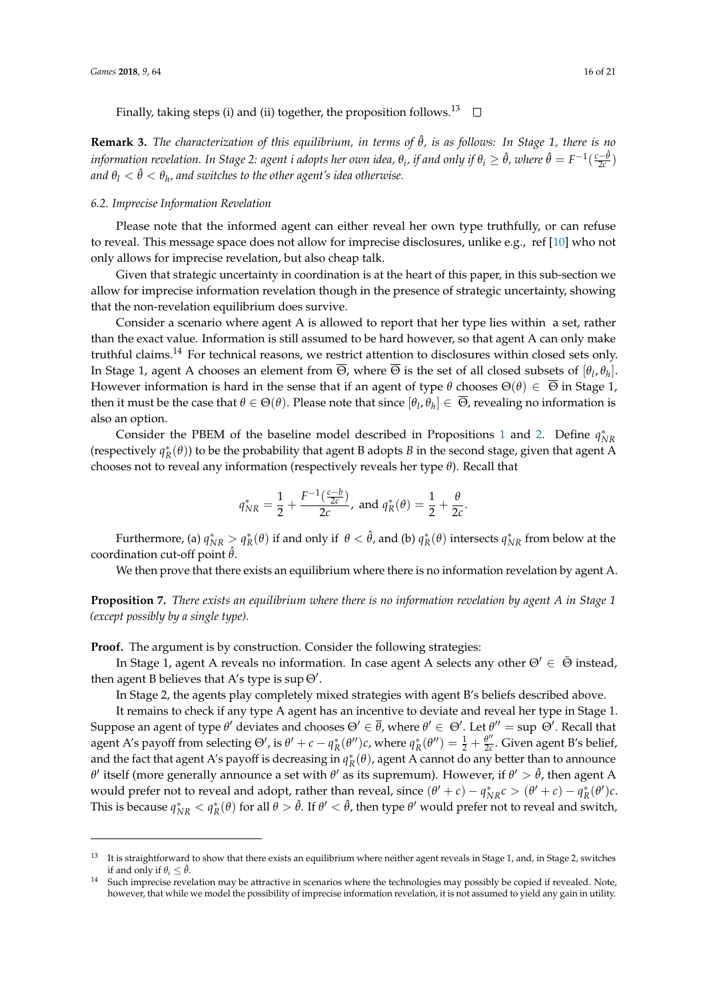Finally, taking steps (i) and (ii) together, the proposition follows.<sup>13</sup>  $\Box$ 

**Remark 3.** *The characterization of this equilibrium, in terms of* ˆ*θ, is as follows: In Stage 1, there is no* information revelation. In Stage 2: agent i adopts her own idea,  $\theta_i$ , if and only if  $\theta_i\geq\hat\theta$ , where  $\hat\theta=F^{-1}(\frac{c-\hat\theta}{2c})$ and  $\theta_l < \hat{\theta} < \theta_h$ , and switches to the other agent's idea otherwise.

# *6.2. Imprecise Information Revelation*

Please note that the informed agent can either reveal her own type truthfully, or can refuse to reveal. This message space does not allow for imprecise disclosures, unlike e.g., ref [\[10\]](#page-19-9) who not only allows for imprecise revelation, but also cheap talk.

Given that strategic uncertainty in coordination is at the heart of this paper, in this sub-section we allow for imprecise information revelation though in the presence of strategic uncertainty, showing that the non-revelation equilibrium does survive.

Consider a scenario where agent A is allowed to report that her type lies within a set, rather than the exact value. Information is still assumed to be hard however, so that agent A can only make truthful claims.<sup>14</sup> For technical reasons, we restrict attention to disclosures within closed sets only. In Stage 1, agent A chooses an element from  $\overline{\Theta}$ , where  $\overline{\Theta}$  is the set of all closed subsets of  $[\theta_l, \theta_h]$ . However information is hard in the sense that if an agent of type  $\theta$  chooses  $\Theta(\theta) \in \overline{\Theta}$  in Stage 1, then it must be the case that  $\theta \in \Theta(\theta)$ . Please note that since  $[\theta_l, \theta_h] \in \Theta$ , revealing no information is also an option.

Consider the PBEM of the baseline model described in Propositions [1](#page-5-2) and [2.](#page-7-0) Define  $q_{NR}^*$ (respectively  $q_R^*(\theta)$ ) to be the probability that agent B adopts *B* in the second stage, given that agent A chooses not to reveal any information (respectively reveals her type *θ*). Recall that

$$
q_{NR}^* = \frac{1}{2} + \frac{F^{-1}(\frac{c-b}{2c})}{2c}
$$
, and  $q_R^*(\theta) = \frac{1}{2} + \frac{\theta}{2c}$ .

Furthermore, (a)  $q_{NR}^* > q_R^*(\theta)$  if and only if  $\theta < \hat{\theta}$ , and (b)  $q_R^*(\theta)$  intersects  $q_{NR}^*$  from below at the coordination cut-off point  $\hat{\theta}$ .

We then prove that there exists an equilibrium where there is no information revelation by agent A.

**Proposition 7.** *There exists an equilibrium where there is no information revelation by agent A in Stage 1 (except possibly by a single type).*

**Proof.** The argument is by construction. Consider the following strategies:

In Stage 1, agent A reveals no information. In case agent A selects any other  $\Theta' \in \bar{\Theta}$  instead, then agent B believes that A's type is sup  $\Theta'$ .

In Stage 2, the agents play completely mixed strategies with agent B's beliefs described above.

It remains to check if any type A agent has an incentive to deviate and reveal her type in Stage 1. Suppose an agent of type  $\theta'$  deviates and chooses  $\Theta' \in \overline{\theta}$ , where  $\theta' \in \Theta'$ . Let  $\theta'' = \sup \Theta'$ . Recall that agent A's payoff from selecting  $\Theta'$ , is  $\theta' + c - q_R^*(\theta'')c$ , where  $q_R^*(\theta'') = \frac{1}{2} + \frac{\theta''}{2c}$ 2*c* . Given agent B's belief, and the fact that agent A's payoff is decreasing in  $q_R^*(\theta)$ , agent A cannot do any better than to announce  $\theta'$  itself (more generally announce a set with  $\theta'$  as its supremum). However, if  $\theta' > \hat{\theta}$ , then agent A would prefer not to reveal and adopt, rather than reveal, since  $(\theta' + c) - q_{NR}^c c > (\theta' + c) - q_R^*(\theta')c$ . This is because  $q_{NR}^* < q_R^*(\theta)$  for all  $\theta > \hat{\theta}$ . If  $\theta' < \hat{\theta}$ , then type  $\theta'$  would prefer not to reveal and switch,

<sup>13</sup> It is straightforward to show that there exists an equilibrium where neither agent reveals in Stage 1, and, in Stage 2, switches if and only if  $\theta_i < \hat{\theta}$ .

<sup>&</sup>lt;sup>14</sup> Such imprecise revelation may be attractive in scenarios where the technologies may possibly be copied if revealed. Note, however, that while we model the possibility of imprecise information revelation, it is not assumed to yield any gain in utility.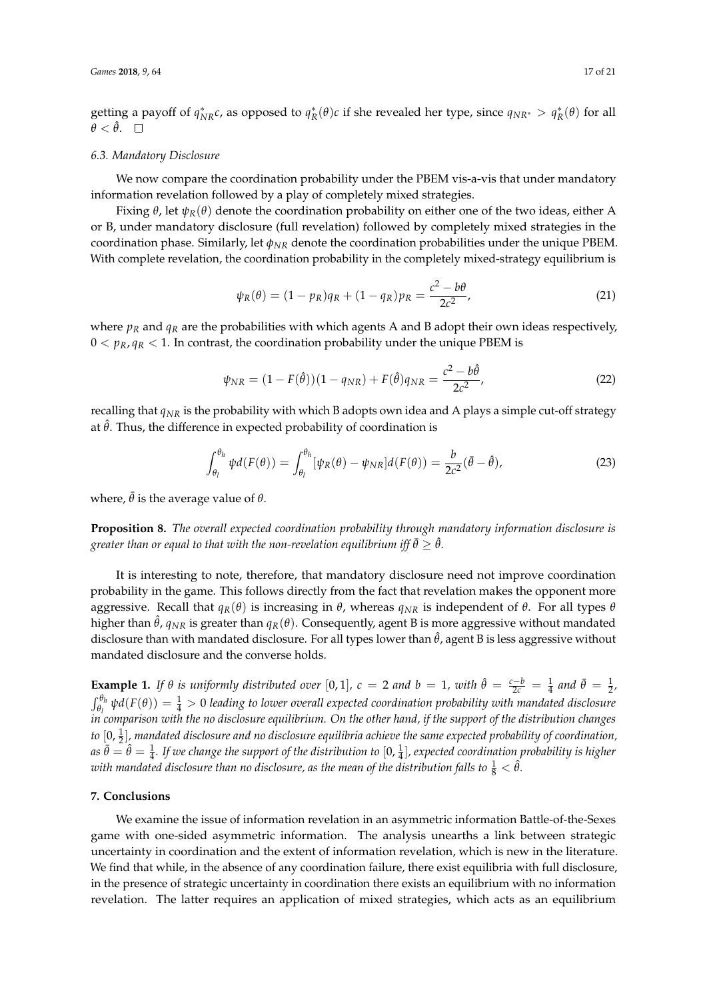getting a payoff of  $q_{NR}^*c$ , as opposed to  $q_R^*(\theta)c$  if she revealed her type, since  $q_{NR^*} > q_R^*(\theta)$  for all  $\theta < \hat{\theta}$ .  $\square$ 

#### *6.3. Mandatory Disclosure*

We now compare the coordination probability under the PBEM vis-a-vis that under mandatory information revelation followed by a play of completely mixed strategies.

Fixing *θ*, let *ψR*(*θ*) denote the coordination probability on either one of the two ideas, either A or B, under mandatory disclosure (full revelation) followed by completely mixed strategies in the coordination phase. Similarly, let *φNR* denote the coordination probabilities under the unique PBEM. With complete revelation, the coordination probability in the completely mixed-strategy equilibrium is

$$
\psi_R(\theta) = (1 - p_R)q_R + (1 - q_R)p_R = \frac{c^2 - b\theta}{2c^2},
$$
\n(21)

where  $p_R$  and  $q_R$  are the probabilities with which agents A and B adopt their own ideas respectively,  $0 < p_R$ ,  $q_R < 1$ . In contrast, the coordination probability under the unique PBEM is

$$
\psi_{NR} = (1 - F(\hat{\theta}))(1 - q_{NR}) + F(\hat{\theta})q_{NR} = \frac{c^2 - b\hat{\theta}}{2c^2},
$$
\n(22)

recalling that  $q_{NR}$  is the probability with which B adopts own idea and A plays a simple cut-off strategy at  $\hat{\theta}$ . Thus, the difference in expected probability of coordination is

$$
\int_{\theta_l}^{\theta_h} \psi d(F(\theta)) = \int_{\theta_l}^{\theta_h} [\psi_R(\theta) - \psi_{NR}] d(F(\theta)) = \frac{b}{2c^2} (\bar{\theta} - \hat{\theta}), \tag{23}
$$

where,  $\bar{\theta}$  is the average value of  $\theta$ .

**Proposition 8.** *The overall expected coordination probability through mandatory information disclosure is greater than or equal to that with the non-revelation equilibrium iff*  $\bar{\theta} \geq \hat{\theta}$ *.* 

It is interesting to note, therefore, that mandatory disclosure need not improve coordination probability in the game. This follows directly from the fact that revelation makes the opponent more aggressive. Recall that *qR*(*θ*) is increasing in *θ*, whereas *qNR* is independent of *θ*. For all types *θ* higher than  $\hat{\theta}$ ,  $q_{NR}$  is greater than  $q_R(\theta)$ . Consequently, agent B is more aggressive without mandated disclosure than with mandated disclosure. For all types lower than  $\hat{\theta}$ , agent B is less aggressive without mandated disclosure and the converse holds.

**Example 1.** *If*  $\theta$  *is uniformly distributed over* [0,1],  $c = 2$  *and*  $b = 1$ , *with*  $\hat{\theta} = \frac{c-b}{2c} = \frac{1}{4}$  *and*  $\bar{\theta} = \frac{1}{2}$ ,  $\int_{\theta_l}^{\theta_h}\psi d(F(\theta))=\frac{1}{4}>0$  *leading to lower overall expected coordination probability with mandated disclosure in comparison with the no disclosure equilibrium. On the other hand, if the support of the distribution changes to* [0, <sup>1</sup> 2 ]*, mandated disclosure and no disclosure equilibria achieve the same expected probability of coordination,* as  $\bar{\theta}=\hat{\theta}=\frac{1}{4}.$  If we change the support of the distribution to  $[0,\frac{1}{4}]$ , expected coordination probability is higher with mandated disclosure than no disclosure, as the mean of the distribution falls to  $\frac{1}{8}< \hat{\theta}$ .

#### <span id="page-16-0"></span>**7. Conclusions**

We examine the issue of information revelation in an asymmetric information Battle-of-the-Sexes game with one-sided asymmetric information. The analysis unearths a link between strategic uncertainty in coordination and the extent of information revelation, which is new in the literature. We find that while, in the absence of any coordination failure, there exist equilibria with full disclosure, in the presence of strategic uncertainty in coordination there exists an equilibrium with no information revelation. The latter requires an application of mixed strategies, which acts as an equilibrium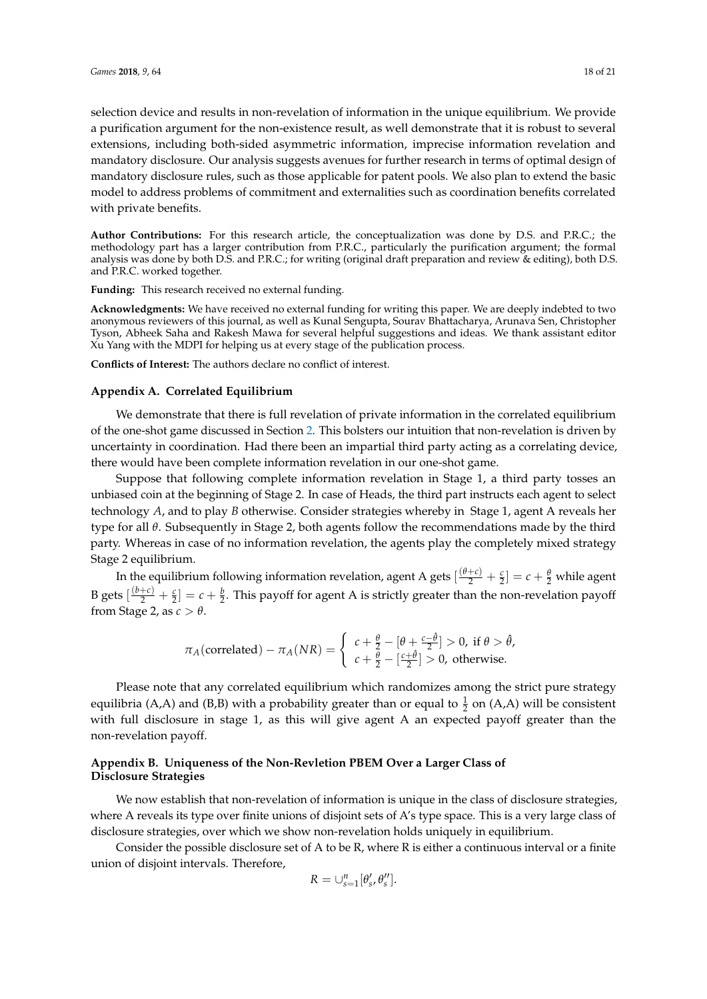selection device and results in non-revelation of information in the unique equilibrium. We provide a purification argument for the non-existence result, as well demonstrate that it is robust to several extensions, including both-sided asymmetric information, imprecise information revelation and mandatory disclosure. Our analysis suggests avenues for further research in terms of optimal design of mandatory disclosure rules, such as those applicable for patent pools. We also plan to extend the basic model to address problems of commitment and externalities such as coordination benefits correlated with private benefits.

**Author Contributions:** For this research article, the conceptualization was done by D.S. and P.R.C.; the methodology part has a larger contribution from P.R.C., particularly the purification argument; the formal analysis was done by both D.S. and P.R.C.; for writing (original draft preparation and review & editing), both D.S. and P.R.C. worked together.

**Funding:** This research received no external funding.

**Acknowledgments:** We have received no external funding for writing this paper. We are deeply indebted to two anonymous reviewers of this journal, as well as Kunal Sengupta, Sourav Bhattacharya, Arunava Sen, Christopher Tyson, Abheek Saha and Rakesh Mawa for several helpful suggestions and ideas. We thank assistant editor Xu Yang with the MDPI for helping us at every stage of the publication process.

**Conflicts of Interest:** The authors declare no conflict of interest.

#### <span id="page-17-0"></span>**Appendix A. Correlated Equilibrium**

We demonstrate that there is full revelation of private information in the correlated equilibrium of the one-shot game discussed in Section [2.](#page-3-0) This bolsters our intuition that non-revelation is driven by uncertainty in coordination. Had there been an impartial third party acting as a correlating device, there would have been complete information revelation in our one-shot game.

Suppose that following complete information revelation in Stage 1, a third party tosses an unbiased coin at the beginning of Stage 2. In case of Heads, the third part instructs each agent to select technology *A*, and to play *B* otherwise. Consider strategies whereby in Stage 1, agent A reveals her type for all *θ*. Subsequently in Stage 2, both agents follow the recommendations made by the third party. Whereas in case of no information revelation, the agents play the completely mixed strategy Stage 2 equilibrium.

In the equilibrium following information revelation, agent A gets  $\left[\frac{(\theta+c)}{2} + \frac{c}{2}\right] = c + \frac{\theta}{2}$  while agent B gets  $\left[\frac{(b+c)}{2} + \frac{c}{2}\right] = c + \frac{b}{2}$ . This payoff for agent A is strictly greater than the non-revelation payoff from Stage 2, as  $c > \theta$ .

$$
\pi_A(\text{correlated}) - \pi_A(NR) = \begin{cases} c + \frac{\theta}{2} - [\theta + \frac{c - \hat{\theta}}{2}] > 0, \text{ if } \theta > \hat{\theta}, \\ c + \frac{\theta}{2} - [\frac{c + \hat{\theta}}{2}] > 0, \text{ otherwise.} \end{cases}
$$

Please note that any correlated equilibrium which randomizes among the strict pure strategy equilibria (A,A) and (B,B) with a probability greater than or equal to  $\frac{1}{2}$  on (A,A) will be consistent with full disclosure in stage 1, as this will give agent A an expected payoff greater than the non-revelation payoff.

# <span id="page-17-1"></span>**Appendix B. Uniqueness of the Non-Revletion PBEM Over a Larger Class of Disclosure Strategies**

We now establish that non-revelation of information is unique in the class of disclosure strategies, where A reveals its type over finite unions of disjoint sets of A's type space. This is a very large class of disclosure strategies, over which we show non-revelation holds uniquely in equilibrium.

Consider the possible disclosure set of A to be R, where R is either a continuous interval or a finite union of disjoint intervals. Therefore,

$$
R=\cup_{s=1}^n[\theta'_s,\theta''_s].
$$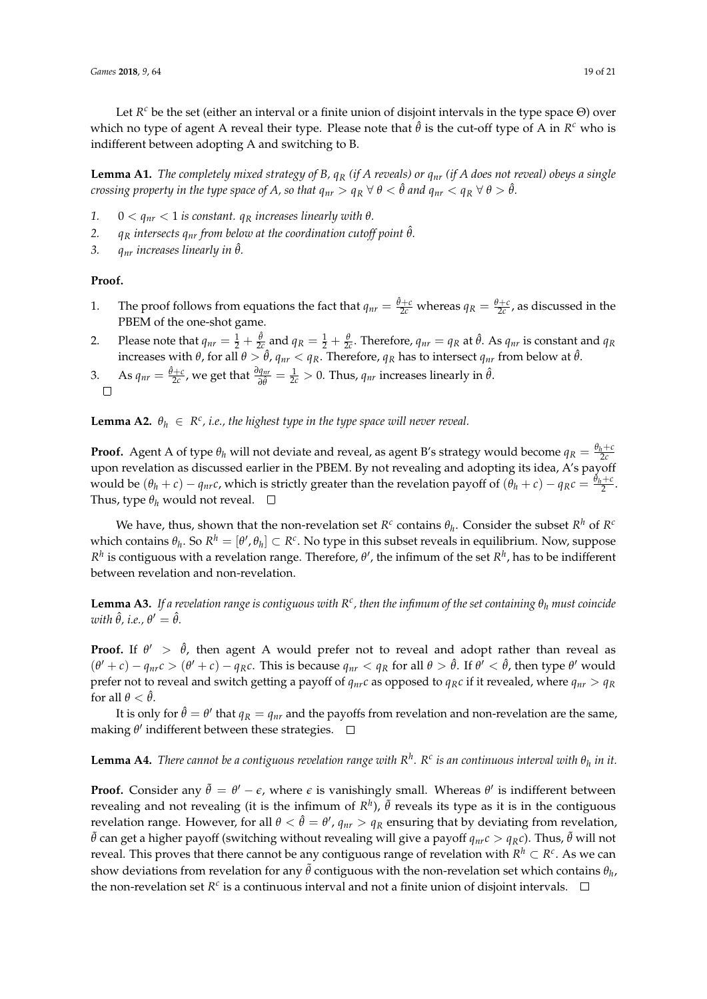Let *R <sup>c</sup>* be the set (either an interval or a finite union of disjoint intervals in the type space Θ) over which no type of agent A reveal their type. Please note that  $\hat{\theta}$  is the cut-off type of A in  $R^c$  who is indifferent between adopting A and switching to B.

<span id="page-18-0"></span>**Lemma A1.** *The completely mixed strategy of B, q<sup>R</sup> (if A reveals) or qnr (if A does not reveal) obeys a single crossing property in the type space of A, so that*  $q_{nr} > q_R \,\forall \,\theta < \hat{\theta}$  *and*  $q_{nr} < q_R \,\forall \,\theta > \hat{\theta}$ *.* 

- *1.*  $0 < q_{nr} < 1$  *is constant.*  $q_R$  *increases linearly with*  $\theta$ *.*
- 2. *q*<sub>*R*</sub> *intersects*  $q_{nr}$  *from below at the coordination cutoff point*  $\hat{\theta}$ *.*
- *3. q*<sub>nr</sub> *increases linearly in*  $\hat{\theta}$ *.*

# **Proof.**

- 1. The proof follows from equations the fact that  $q_{nr} = \frac{\hat{\theta}+c}{2c}$  whereas  $q_R = \frac{\theta+c}{2c}$ , as discussed in the PBEM of the one-shot game.
- 2. Please note that  $q_{nr} = \frac{1}{2} + \frac{\hat{\theta}}{2c}$  and  $q_R = \frac{1}{2} + \frac{\theta}{2c}$ . Therefore,  $q_{nr} = q_R$  at  $\hat{\theta}$ . As  $q_{nr}$  is constant and  $q_R$ increases with *θ*, for all  $θ > θ$ ,  $q_{nr} < q_R$ . Therefore,  $q_R$  has to intersect  $q_{nr}$  from below at  $θ$ .
- 3. As  $q_{nr} = \frac{\hat{\theta} + c}{2c}$ , we get that  $\frac{\partial q_{nr}}{\partial \hat{\theta}} = \frac{1}{2c} > 0$ . Thus,  $q_{nr}$  increases linearly in  $\hat{\theta}$ .  $\Box$

**Lemma A2.**  $\theta_h \in R^c$ , *i.e., the highest type in the type space will never reveal.* 

**Proof.** Agent A of type  $\theta_h$  will not deviate and reveal, as agent B's strategy would become  $q_R = \frac{\theta_h + c}{2c}$ upon revelation as discussed earlier in the PBEM. By not revealing and adopting its idea, A's payoff would be  $(\theta_h + c) - q_{nr}c$ , which is strictly greater than the revelation payoff of  $(\theta_h + c) - q_Rc = \frac{\theta_h + c}{2}$ . Thus, type  $\theta_h$  would not reveal.  $\Box$ 

We have, thus, shown that the non-revelation set  $R^c$  contains  $\theta_h$ . Consider the subset  $R^h$  of  $R^c$ which contains  $\theta_h$ . So  $R^h = [\theta', \theta_h] \subset R^c$ . No type in this subset reveals in equilibrium. Now, suppose  $R^h$  is contiguous with a revelation range. Therefore,  $θ'$ , the infimum of the set  $R^h$ , has to be indifferent between revelation and non-revelation.

**Lemma A3.** If a revelation range is contiguous with  $R^c$ , then the infimum of the set containing  $\theta_h$  must coincide  $\omega$ *ith*  $\hat{\theta}$ *, i.e.,*  $\theta' = \hat{\theta}$ *.* 

**Proof.** If  $\theta' > \hat{\theta}$ , then agent A would prefer not to reveal and adopt rather than reveal as  $(\theta'+c)-q_{nr}c>(\theta'+c)-q_{R}c$ . This is because  $q_{nr} < q_{R}$  for all  $\theta > \hat{\theta}$ . If  $\theta' < \hat{\theta}$ , then type  $\theta'$  would prefer not to reveal and switch getting a payoff of  $q_{nr}c$  as opposed to  $q_Rc$  if it revealed, where  $q_{nr} > q_R$ for all  $\theta < \hat{\theta}$ .

It is only for  $\hat{\theta} = \theta'$  that  $q_R = q_{nr}$  and the payoffs from revelation and non-revelation are the same, making  $θ'$  indifferent between these strategies.

# $L$ emma A4. There cannot be a contiguous revelation range with  $R^h$ .  $R^c$  is an continuous interval with  $\theta_h$  in it.

**Proof.** Consider any  $\tilde{\theta} = \theta' - \epsilon$ , where  $\epsilon$  is vanishingly small. Whereas  $\theta'$  is indifferent between revealing and not revealing (it is the infimum of  $R^h$ ),  $\tilde{\theta}$  reveals its type as it is in the contiguous revelation range. However, for all  $θ < θ = θ'$ ,  $q_{nr} > q_R$  ensuring that by deviating from revelation,  $\hat{\theta}$  can get a higher payoff (switching without revealing will give a payoff  $q_{nr}c > q_{R}c$ ). Thus,  $\hat{\theta}$  will not reveal. This proves that there cannot be any contiguous range of revelation with  $R^h\subset R^c.$  As we can show deviations from revelation for any  $\tilde{\theta}$  contiguous with the non-revelation set which contains  $\theta_h$ , the non-revelation set  $R^c$  is a continuous interval and not a finite union of disjoint intervals.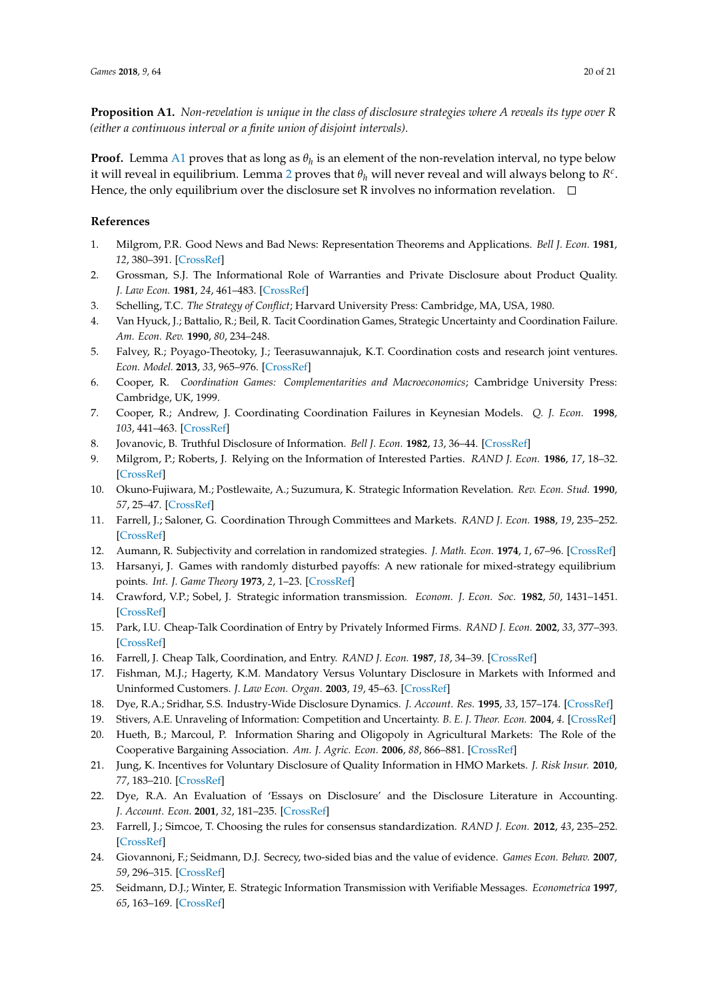**Proposition A1.** *Non-revelation is unique in the class of disclosure strategies where A reveals its type over R (either a continuous interval or a finite union of disjoint intervals).*

**Proof.** Lemma [A1](#page-18-0) proves that as long as  $\theta_h$  is an element of the non-revelation interval, no type below it will reveal in equilibrium. Lemma [2](#page-6-0) proves that  $\theta_h$  will never reveal and will always belong to  $R^c$ . Hence, the only equilibrium over the disclosure set R involves no information revelation.  $\Box$ 

# **References**

- <span id="page-19-0"></span>1. Milgrom, P.R. Good News and Bad News: Representation Theorems and Applications. *Bell J. Econ.* **1981**, *12*, 380–391. [\[CrossRef\]](http://dx.doi.org/10.2307/3003562)
- <span id="page-19-1"></span>2. Grossman, S.J. The Informational Role of Warranties and Private Disclosure about Product Quality. *J. Law Econ.* **1981**, *24*, 461–483. [\[CrossRef\]](http://dx.doi.org/10.1086/466995)
- <span id="page-19-2"></span>3. Schelling, T.C. *The Strategy of Conflict*; Harvard University Press: Cambridge, MA, USA, 1980.
- <span id="page-19-3"></span>4. Van Hyuck, J.; Battalio, R.; Beil, R. Tacit Coordination Games, Strategic Uncertainty and Coordination Failure. *Am. Econ. Rev.* **1990**, *80*, 234–248.
- <span id="page-19-4"></span>5. Falvey, R.; Poyago-Theotoky, J.; Teerasuwannajuk, K.T. Coordination costs and research joint ventures. *Econ. Model.* **2013**, *33*, 965–976. [\[CrossRef\]](http://dx.doi.org/10.1016/j.econmod.2013.03.005)
- <span id="page-19-5"></span>6. Cooper, R. *Coordination Games: Complementarities and Macroeconomics*; Cambridge University Press: Cambridge, UK, 1999.
- <span id="page-19-6"></span>7. Cooper, R.; Andrew, J. Coordinating Coordination Failures in Keynesian Models. *Q. J. Econ.* **1998**, *103*, 441–463. [\[CrossRef\]](http://dx.doi.org/10.2307/1885539)
- <span id="page-19-7"></span>8. Jovanovic, B. Truthful Disclosure of Information. *Bell J. Econ.* **1982**, *13*, 36–44. [\[CrossRef\]](http://dx.doi.org/10.2307/3003428)
- <span id="page-19-8"></span>9. Milgrom, P.; Roberts, J. Relying on the Information of Interested Parties. *RAND J. Econ.* **1986**, *17*, 18–32. [\[CrossRef\]](http://dx.doi.org/10.2307/2555625)
- <span id="page-19-9"></span>10. Okuno-Fujiwara, M.; Postlewaite, A.; Suzumura, K. Strategic Information Revelation. *Rev. Econ. Stud.* **1990**, *57*, 25–47. [\[CrossRef\]](http://dx.doi.org/10.2307/2297541)
- <span id="page-19-10"></span>11. Farrell, J.; Saloner, G. Coordination Through Committees and Markets. *RAND J. Econ.* **1988**, *19*, 235–252. [\[CrossRef\]](http://dx.doi.org/10.2307/2555702)
- <span id="page-19-11"></span>12. Aumann, R. Subjectivity and correlation in randomized strategies. *J. Math. Econ.* **1974**, *1*, 67–96. [\[CrossRef\]](http://dx.doi.org/10.1016/0304-4068(74)90037-8)
- <span id="page-19-12"></span>13. Harsanyi, J. Games with randomly disturbed payoffs: A new rationale for mixed-strategy equilibrium points. *Int. J. Game Theory* **1973**, *2*, 1–23. [\[CrossRef\]](http://dx.doi.org/10.1007/BF01737554)
- <span id="page-19-13"></span>14. Crawford, V.P.; Sobel, J. Strategic information transmission. *Econom. J. Econ. Soc.* **1982**, *50*, 1431–1451. [\[CrossRef\]](http://dx.doi.org/10.2307/1913390)
- <span id="page-19-14"></span>15. Park, I.U. Cheap-Talk Coordination of Entry by Privately Informed Firms. *RAND J. Econ.* **2002**, *33*, 377–393. [\[CrossRef\]](http://dx.doi.org/10.2307/3087463)
- <span id="page-19-15"></span>16. Farrell, J. Cheap Talk, Coordination, and Entry. *RAND J. Econ.* **1987**, *18*, 34–39. [\[CrossRef\]](http://dx.doi.org/10.2307/2555533)
- <span id="page-19-16"></span>17. Fishman, M.J.; Hagerty, K.M. Mandatory Versus Voluntary Disclosure in Markets with Informed and Uninformed Customers. *J. Law Econ. Organ.* **2003**, *19*, 45–63. [\[CrossRef\]](http://dx.doi.org/10.1093/jleo/19.1.45)
- <span id="page-19-17"></span>18. Dye, R.A.; Sridhar, S.S. Industry-Wide Disclosure Dynamics. *J. Account. Res.* **1995**, *33*, 157–174. [\[CrossRef\]](http://dx.doi.org/10.2307/2491297)
- <span id="page-19-18"></span>19. Stivers, A.E. Unraveling of Information: Competition and Uncertainty. *B. E. J. Theor. Econ.* **2004**, *4*. [\[CrossRef\]](http://dx.doi.org/10.2202/1534-598X.1151)
- <span id="page-19-19"></span>20. Hueth, B.; Marcoul, P. Information Sharing and Oligopoly in Agricultural Markets: The Role of the Cooperative Bargaining Association. *Am. J. Agric. Econ.* **2006**, *88*, 866–881. [\[CrossRef\]](http://dx.doi.org/10.1111/j.1467-8276.2006.00903.x)
- <span id="page-19-20"></span>21. Jung, K. Incentives for Voluntary Disclosure of Quality Information in HMO Markets. *J. Risk Insur.* **2010**, *77*, 183–210. [\[CrossRef\]](http://dx.doi.org/10.1111/j.1539-6975.2009.01339.x)
- <span id="page-19-21"></span>22. Dye, R.A. An Evaluation of 'Essays on Disclosure' and the Disclosure Literature in Accounting. *J. Account. Econ.* **2001**, *32*, 181–235. [\[CrossRef\]](http://dx.doi.org/10.1016/S0165-4101(01)00024-6)
- <span id="page-19-22"></span>23. Farrell, J.; Simcoe, T. Choosing the rules for consensus standardization. *RAND J. Econ.* **2012**, *43*, 235–252. [\[CrossRef\]](http://dx.doi.org/10.1111/j.1756-2171.2012.00164.x)
- <span id="page-19-23"></span>24. Giovannoni, F.; Seidmann, D.J. Secrecy, two-sided bias and the value of evidence. *Games Econ. Behav.* **2007**, *59*, 296–315. [\[CrossRef\]](http://dx.doi.org/10.1016/j.geb.2006.08.003)
- <span id="page-19-24"></span>25. Seidmann, D.J.; Winter, E. Strategic Information Transmission with Verifiable Messages. *Econometrica* **1997**, *65*, 163–169. [\[CrossRef\]](http://dx.doi.org/10.2307/2171817)